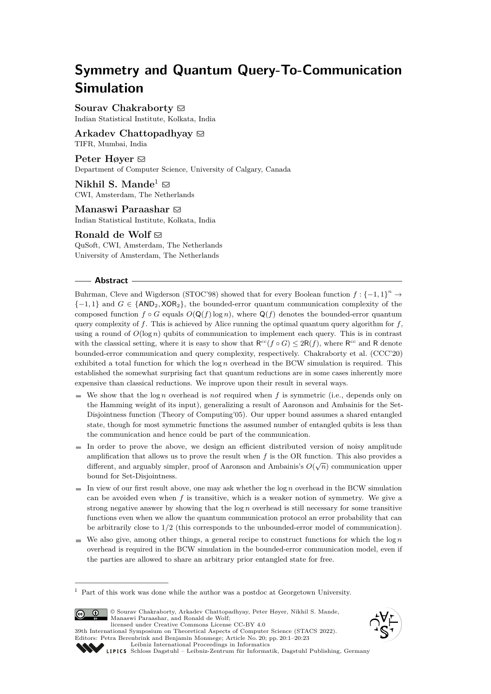# **Symmetry and Quantum Query-To-Communication Simulation**

**Sourav Chakraborty** ⊠ Indian Statistical Institute, Kolkata, India

**Arkadev Chattopadhyay** ⊠ TIFR, Mumbai, India

**Peter Høyer** ⊠ Department of Computer Science, University of Calgary, Canada

**Nikhil S. Mande**<sup>1</sup>  $\boxtimes$ CWI, Amsterdam, The Netherlands

**Manaswi Paraashar** ⊠ Indian Statistical Institute, Kolkata, India

Ronald de Wolf $\Xi$ QuSoft, CWI, Amsterdam, The Netherlands

University of Amsterdam, The Netherlands

## **Abstract**

Buhrman, Cleve and Wigderson (STOC'98) showed that for every Boolean function  $f: \{-1,1\}^n \to$  $\{-1,1\}$  and  $G \in \{AND_2, XOR_2\}$ , the bounded-error quantum communication complexity of the composed function  $f \circ G$  equals  $O(Q(f) \log n)$ , where  $Q(f)$  denotes the bounded-error quantum query complexity of *f*. This is achieved by Alice running the optimal quantum query algorithm for *f*, using a round of  $O(\log n)$  qubits of communication to implement each query. This is in contrast with the classical setting, where it is easy to show that  $R^{cc}(f \circ G) \leq 2R(f)$ , where  $R^{cc}$  and R denote bounded-error communication and query complexity, respectively. Chakraborty et al. (CCC'20) exhibited a total function for which the log *n* overhead in the BCW simulation is required. This established the somewhat surprising fact that quantum reductions are in some cases inherently more expensive than classical reductions. We improve upon their result in several ways.

- $\blacksquare$  We show that the log *n* overhead is *not* required when *f* is symmetric (i.e., depends only on the Hamming weight of its input), generalizing a result of Aaronson and Ambainis for the Set-Disjointness function (Theory of Computing'05). Our upper bound assumes a shared entangled state, though for most symmetric functions the assumed number of entangled qubits is less than the communication and hence could be part of the communication.
- In order to prove the above, we design an efficient distributed version of noisy amplitude amplification that allows us to prove the result when  $f$  is the OR function. This also provides a different, and arguably simpler, proof of Aaronson and Ambainis's  $O(\sqrt{n})$  communication upper bound for Set-Disjointness.
- $\blacksquare$  In view of our first result above, one may ask whether the  $\log n$  overhead in the BCW simulation can be avoided even when  $f$  is transitive, which is a weaker notion of symmetry. We give a strong negative answer by showing that the log *n* overhead is still necessary for some transitive functions even when we allow the quantum communication protocol an error probability that can be arbitrarily close to 1*/*2 (this corresponds to the unbounded-error model of communication).
- We also give, among other things, a general recipe to construct functions for which the  $\log n$ overhead is required in the BCW simulation in the bounded-error communication model, even if the parties are allowed to share an arbitrary prior entangled state for free.

<sup>1</sup> Part of this work was done while the author was a postdoc at Georgetown University.



© Sourav Chakraborty, Arkadev Chattopadhyay, Peter Høyer, Nikhil S. Mande, Manaswi Paraashar, and Ronald de Wolf; licensed under Creative Commons License CC-BY 4.0

39th International Symposium on Theoretical Aspects of Computer Science (STACS 2022). Editors: Petra Berenbrink and Benjamin Monmege; Article No. 20; pp. 20:1–20:23 [Leibniz International Proceedings in Informatics](https://www.dagstuhl.de/lipics/)





[Schloss Dagstuhl – Leibniz-Zentrum für Informatik, Dagstuhl Publishing, Germany](https://www.dagstuhl.de)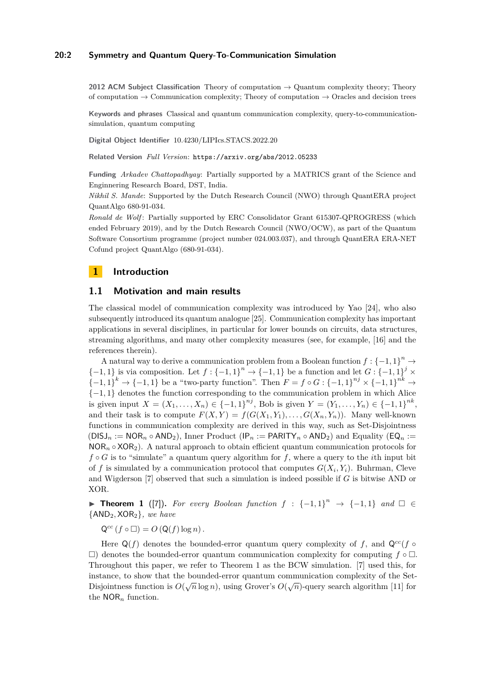## **20:2 Symmetry and Quantum Query-To-Communication Simulation**

**2012 ACM Subject Classification** Theory of computation → Quantum complexity theory; Theory of computation  $\rightarrow$  Communication complexity; Theory of computation  $\rightarrow$  Oracles and decision trees

**Keywords and phrases** Classical and quantum communication complexity, query-to-communicationsimulation, quantum computing

**Digital Object Identifier** [10.4230/LIPIcs.STACS.2022.20](https://doi.org/10.4230/LIPIcs.STACS.2022.20)

**Related Version** *Full Version*: <https://arxiv.org/abs/2012.05233>

**Funding** *Arkadev Chattopadhyay*: Partially supported by a MATRICS grant of the Science and Enginnering Research Board, DST, India.

*Nikhil S. Mande*: Supported by the Dutch Research Council (NWO) through QuantERA project QuantAlgo 680-91-034.

*Ronald de Wolf* : Partially supported by ERC Consolidator Grant 615307-QPROGRESS (which ended February 2019), and by the Dutch Research Council (NWO/OCW), as part of the Quantum Software Consortium programme (project number 024.003.037), and through QuantERA ERA-NET Cofund project QuantAlgo (680-91-034).

# **1 Introduction**

## **1.1 Motivation and main results**

The classical model of communication complexity was introduced by Yao [\[24\]](#page-17-0), who also subsequently introduced its quantum analogue [\[25\]](#page-17-1). Communication complexity has important applications in several disciplines, in particular for lower bounds on circuits, data structures, streaming algorithms, and many other complexity measures (see, for example, [\[16\]](#page-16-0) and the references therein).

A natural way to derive a communication problem from a Boolean function  $f: \{-1, 1\}^n \to$  $\{-1, 1\}$  is via composition. Let  $f: \{-1, 1\}^n \to \{-1, 1\}$  be a function and let  $G: \{-1, 1\}^j \times$  ${-1, 1}^k$  →  ${-1, 1}$  be a "two-party function". Then  $F = f \circ G : {-1, 1}^{n_j} \times {{-1, 1}^{nk}} \rightarrow$ {−1*,* 1} denotes the function corresponding to the communication problem in which Alice is given input  $X = (X_1, \ldots, X_n) \in \{-1, 1\}^{nj}$ , Bob is given  $Y = (Y_1, \ldots, Y_n) \in \{-1, 1\}^{nk}$ , and their task is to compute  $F(X, Y) = f(G(X_1, Y_1), \ldots, G(X_n, Y_n))$ . Many well-known functions in communication complexity are derived in this way, such as Set-Disjointness  $(DISJ_n := NOR_n \circ AND_2)$ , Inner Product  $(\mathsf{IP}_n := \mathsf{PARITY}_n \circ AND_2)$  and Equality  $(\mathsf{EQ}_n := \mathsf{CAR} \circ AND_2)$  $NOR_n \circ XOR_2$ ). A natural approach to obtain efficient quantum communication protocols for  $f \circ G$  is to "simulate" a quantum query algorithm for f, where a query to the *i*th input bit of f is simulated by a communication protocol that computes  $G(X_i, Y_i)$ . Buhrman, Cleve and Wigderson [\[7\]](#page-16-1) observed that such a simulation is indeed possible if *G* is bitwise AND or XOR.

<span id="page-1-0"></span>▶ **Theorem 1** ([\[7\]](#page-16-1)). For every Boolean function  $f : \{-1,1\}^n \rightarrow \{-1,1\}$  and  $\Box \in$ {AND2*,* XOR2}*, we have*

 $Q^{cc}(f \circ \Box) = O(Q(f) \log n).$ 

Here  $Q(f)$  denotes the bounded-error quantum query complexity of *f*, and  $Q^{cc}(f \circ f)$  $\square$ ) denotes the bounded-error quantum communication complexity for computing  $f \circ \square$ . Throughout this paper, we refer to Theorem [1](#page-1-0) as the BCW simulation. [\[7\]](#page-16-1) used this, for instance, to show that the bounded-error quantum communication complexity of the Set- $D$ isjointness function is  $O(\sqrt{n}\log n)$ , using Grover's  $O(\sqrt{n})$ -query search algorithm [\[11\]](#page-16-2) for the NOR*<sup>n</sup>* function.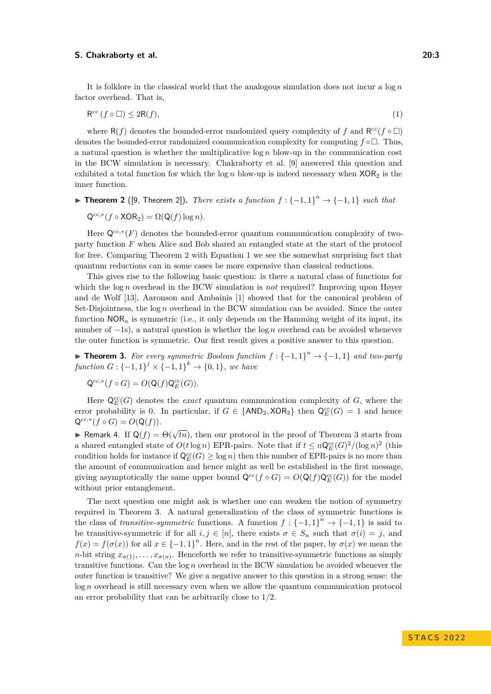It is folklore in the classical world that the analogous simulation does not incur a log *n* factor overhead. That is,

<span id="page-2-1"></span>
$$
\mathsf{R}^{cc}\left(f\circ\Box\right)\leq 2\mathsf{R}(f),\tag{1}
$$

where  $R(f)$  denotes the bounded-error randomized query complexity of f and  $R^{cc}(f \circ \Box)$ denotes the bounded-error randomized communication complexity for computing  $f \circ \Box$ . Thus, a natural question is whether the multiplicative log *n* blow-up in the communication cost in the BCW simulation is necessary. Chakraborty et al. [\[9\]](#page-16-3) answered this question and exhibited a total function for which the  $\log n$  blow-up is indeed necessary when  $XOR<sub>2</sub>$  is the inner function.

<span id="page-2-0"></span>▶ **Theorem 2** ([\[9,](#page-16-3) Theorem 2]). *There exists a function*  $f: \{-1,1\}^n \rightarrow \{-1,1\}$  *such that* 

$$
Q^{cc,*}(f \circ \text{XOR}_2) = \Omega(Q(f) \log n).
$$

Here Q<sup>cc,∗</sup>(F) denotes the bounded-error quantum communication complexity of twoparty function *F* when Alice and Bob shared an entangled state at the start of the protocol for free. Comparing Theorem [2](#page-2-0) with Equation [1](#page-2-1) we see the somewhat surprising fact that quantum reductions can in some cases be more expensive than classical reductions.

This gives rise to the following basic question: is there a natural class of functions for which the log *n* overhead in the BCW simulation is *not* required? Improving upon Høyer and de Wolf [\[13\]](#page-16-4), Aaronson and Ambainis [\[1\]](#page-16-5) showed that for the canonical problem of Set-Disjointness, the log *n* overhead in the BCW simulation can be avoided. Since the outer function  $NOR<sub>n</sub>$  is symmetric (i.e., it only depends on the Hamming weight of its input, its number of −1s), a natural question is whether the log *n* overhead can be avoided whenever the outer function is symmetric. Our first result gives a positive answer to this question.

<span id="page-2-2"></span>▶ **Theorem 3.** For every symmetric Boolean function  $f: \{-1, 1\}^n \rightarrow \{-1, 1\}$  and two-party *function*  $G: \{-1, 1\}^j \times \{-1, 1\}^k \to \{0, 1\}$ *, we have* 

$$
\mathsf{Q}^{cc,*}(f\circ G)=O(\mathsf{Q}(f)\mathsf{Q}^{cc}_E(G)).
$$

Here  $\mathsf{Q}_{E}^{cc}(G)$  denotes the *exact* quantum communication complexity of *G*, where the error probability is 0. In particular, if  $G \in \{\text{AND}_2, \text{XOR}_2\}$  then  $\mathsf{Q}_{E}^{cc}(G) = 1$  and hence  $Q^{cc,*}(f \circ G) = O(Q(f)).$ 

**► Remark 4.** If  $Q(f) = \Theta(\sqrt{tn})$ , then our protocol in the proof of Theorem [3](#page-2-2) starts from a shared entangled state of  $O(t \log n)$  EPR-pairs. Note that if  $t \leq n \mathbb{Q}_{E}^{cc}(G)^{2} / (\log n)^{2}$  (this condition holds for instance if  $\mathsf{Q}_E^{cc}(G) \ge \log n$  then this number of EPR-pairs is no more than the amount of communication and hence might as well be established in the first message, giving asymptotically the same upper bound  $\mathsf{Q}^{cc}(f \circ G) = O(\mathsf{Q}(f)\mathsf{Q}_{E}^{cc}(G))$  for the model without prior entanglement.

<span id="page-2-3"></span>The next question one might ask is whether one can weaken the notion of symmetry required in Theorem [3.](#page-2-2) A natural generalization of the class of symmetric functions is the class of *transitive-symmetric* functions. A function  $f: \{-1,1\}^n \to \{-1,1\}$  is said to be transitive-symmetric if for all  $i, j \in [n]$ , there exists  $\sigma \in S_n$  such that  $\sigma(i) = j$ , and  $f(x) = f(\sigma(x))$  for all  $x \in \{-1,1\}^n$ . Here, and in the rest of the paper, by  $\sigma(x)$  we mean the *n*-bit string  $x_{\sigma(1)}, \ldots, x_{\sigma(n)}$ . Henceforth we refer to transitive-symmetric functions as simply transitive functions. Can the log *n* overhead in the BCW simulation be avoided whenever the outer function is transitive? We give a negative answer to this question in a strong sense: the log *n* overhead is still necessary even when we allow the quantum communication protocol an error probability that can be arbitrarily close to 1*/*2.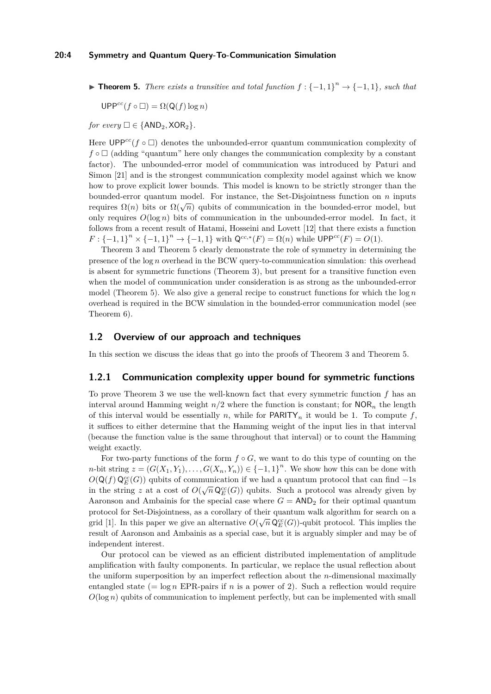▶ **Theorem 5.** *There exists a transitive and total function*  $f: {-1, 1}^n \rightarrow {-1, 1}$ *, such that* 

 $UPP^{cc}(f \circ \Box) = \Omega(Q(f) \log n)$ 

*for every*  $\square \in \{AND_2, XOR_2\}.$ 

Here  $UPP^{cc}(f \circ \Box)$  denotes the unbounded-error quantum communication complexity of  $f \circ \Box$  (adding "quantum" here only changes the communication complexity by a constant factor). The unbounded-error model of communication was introduced by Paturi and Simon [\[21\]](#page-17-2) and is the strongest communication complexity model against which we know how to prove explicit lower bounds. This model is known to be strictly stronger than the bounded-error quantum model. For instance, the Set-Disjointness function on *n* inputs requires  $\Omega(n)$  bits or  $\Omega(\sqrt{n})$  qubits of communication in the bounded-error model, but only requires  $O(\log n)$  bits of communication in the unbounded-error model. In fact, it follows from a recent result of Hatami, Hosseini and Lovett [\[12\]](#page-16-6) that there exists a function  $F: \{-1, 1\}^n \times \{-1, 1\}^n \to \{-1, 1\}$  with  $\mathsf{Q}^{cc,*}(F) = \Omega(n)$  while  $\mathsf{UPP}^{cc}(F) = O(1)$ .

Theorem [3](#page-2-2) and Theorem [5](#page-2-3) clearly demonstrate the role of symmetry in determining the presence of the log *n* overhead in the BCW query-to-communication simulation: this overhead is absent for symmetric functions (Theorem [3\)](#page-2-2), but present for a transitive function even when the model of communication under consideration is as strong as the unbounded-error model (Theorem [5\)](#page-2-3). We also give a general recipe to construct functions for which the log *n* overhead is required in the BCW simulation in the bounded-error communication model (see Theorem [6\)](#page-5-0).

## **1.2 Overview of our approach and techniques**

In this section we discuss the ideas that go into the proofs of Theorem [3](#page-2-2) and Theorem [5.](#page-2-3)

# **1.2.1 Communication complexity upper bound for symmetric functions**

To prove Theorem [3](#page-2-2) we use the well-known fact that every symmetric function *f* has an interval around Hamming weight  $n/2$  where the function is constant; for  $NOR_n$  the length of this interval would be essentially *n*, while for **PARITY**<sub>n</sub> it would be 1. To compute  $f$ , it suffices to either determine that the Hamming weight of the input lies in that interval (because the function value is the same throughout that interval) or to count the Hamming weight exactly.

For two-party functions of the form  $f \circ G$ , we want to do this type of counting on the *n*-bit string  $z = (G(X_1, Y_1), \ldots, G(X_n, Y_n)) \in \{-1, 1\}^n$ . We show how this can be done with  $O(Q(f) \mathsf{Q}_{E}^{cc}(G))$  qubits of communication if we had a quantum protocol that can find  $-1$ s in the string *z* at a cost of  $O(\sqrt{n} Q_E^c(G))$  qubits. Such a protocol was already given by Aaronson and Ambainis for the special case where  $G = AND<sub>2</sub>$  for their optimal quantum protocol for Set-Disjointness, as a corollary of their quantum walk algorithm for search on a<br>∴ grid [\[1\]](#page-16-5). In this paper we give an alternative  $O(\sqrt{n} \mathsf{Q}_{E}^{cc}(G))$ -qubit protocol. This implies the result of Aaronson and Ambainis as a special case, but it is arguably simpler and may be of independent interest.

Our protocol can be viewed as an efficient distributed implementation of amplitude amplification with faulty components. In particular, we replace the usual reflection about the uniform superposition by an imperfect reflection about the *n*-dimensional maximally entangled state  $(= \log n$  EPR-pairs if *n* is a power of 2). Such a reflection would require  $O(\log n)$  qubits of communication to implement perfectly, but can be implemented with small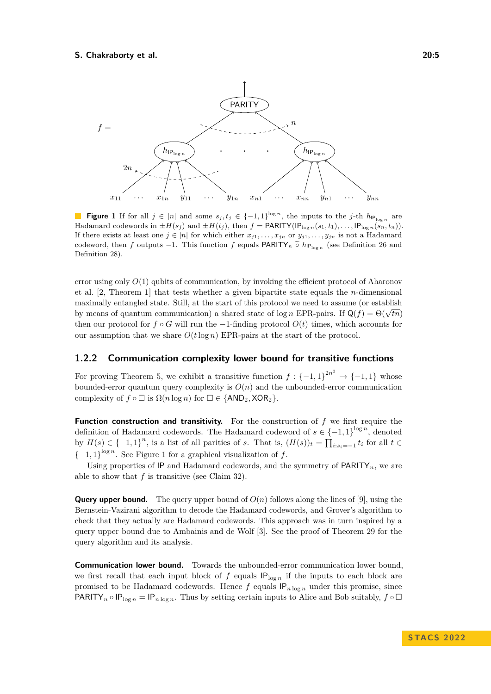<span id="page-4-0"></span>

**Figure 1** If for all  $j \in [n]$  and some  $s_j, t_j \in \{-1, 1\}^{\log n}$ , the inputs to the *j*-th  $h_{\text{IP}}_{\log n}$  are Hadamard codewords in  $\pm H(s_j)$  and  $\pm H(t_j)$ , then  $f = \text{PARITY}(\text{IP}_{\log n}(s_1, t_1), \ldots, \text{IP}_{\log n}(s_n, t_n))$ . If there exists at least one  $j \in [n]$  for which either  $x_{j1}, \ldots, x_{jn}$  or  $y_{j1}, \ldots, y_{jn}$  is not a Hadamard codeword, then *f* outputs −1. This function *f* equals PARITY<sub>*n*</sub>  $\tilde{°}$  *h*<sub>IPlog *n*</sub> (see Definition [26](#page-12-0) and Definition 28) Definition [28\)](#page-13-0).

error using only *O*(1) qubits of communication, by invoking the efficient protocol of Aharonov et al. [\[2,](#page-16-7) Theorem 1] that tests whether a given bipartite state equals the *n*-dimensional maximally entangled state. Still, at the start of this protocol we need to assume (or establish by means of quantum communication) a shared state of  $\log n$  EPR-pairs. If  $Q(f) = \Theta(\sqrt{tn})$ then our protocol for  $f \circ G$  will run the  $-1$ -finding protocol  $O(t)$  times, which accounts for our assumption that we share  $O(t \log n)$  EPR-pairs at the start of the protocol.

## **1.2.2 Communication complexity lower bound for transitive functions**

For proving Theorem [5,](#page-2-3) we exhibit a transitive function  $f: \{-1,1\}^{2n^2} \to \{-1,1\}$  whose bounded-error quantum query complexity is  $O(n)$  and the unbounded-error communication complexity of  $f \circ \Box$  is  $\Omega(n \log n)$  for  $\Box \in \{\text{AND}_2, \text{XOR}_2\}.$ 

**Function construction and transitivity.** For the construction of *f* we first require the definition of Hadamard codewords. The Hadamard codeword of  $s \in \{-1,1\}^{\log n}$ , denoted by  $H(s) \in \{-1, 1\}^n$ , is a list of all parities of *s*. That is,  $(H(s))_t = \prod_{i:s_i=-1} t_i$  for all  $t \in$  ${-1, 1}^{\log n}$  ${-1, 1}^{\log n}$  ${-1, 1}^{\log n}$ . See Figure 1 for a graphical visualization of *f*.

Using properties of  $IP$  and Hadamard codewords, and the symmetry of  $PARITY_n$ , we are able to show that *f* is transitive (see Claim [32\)](#page-14-0).

**Query upper bound.** The query upper bound of  $O(n)$  follows along the lines of [\[9\]](#page-16-3), using the Bernstein-Vazirani algorithm to decode the Hadamard codewords, and Grover's algorithm to check that they actually are Hadamard codewords. This approach was in turn inspired by a query upper bound due to Ambainis and de Wolf [\[3\]](#page-16-8). See the proof of Theorem [29](#page-13-1) for the query algorithm and its analysis.

**Communication lower bound.** Towards the unbounded-error communication lower bound, we first recall that each input block of  $f$  equals  $IP_{\text{log }n}$  if the inputs to each block are promised to be Hadamard codewords. Hence  $f$  equals  $IP_{n \log n}$  under this promise, since PARITY<sub>n</sub> ◦  $IP_{\log n} = IP_{n \log n}$ . Thus by setting certain inputs to Alice and Bob suitably,  $f \circ \Box$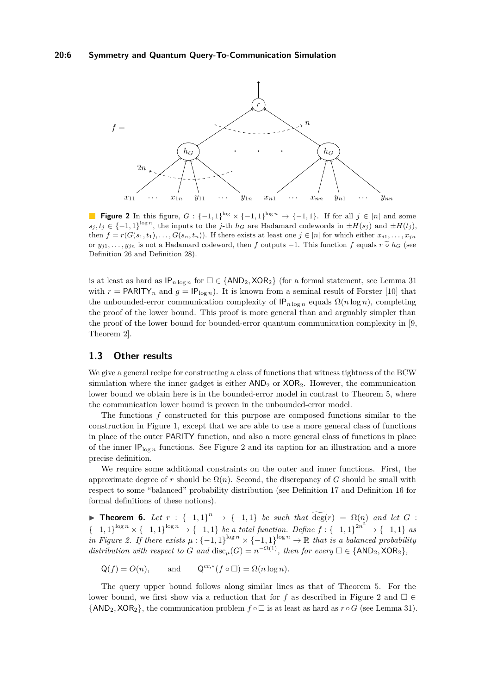<span id="page-5-1"></span>

**Figure 2** In this figure,  $G: \{-1,1\}^{\log} \times \{-1,1\}^{\log n} \rightarrow \{-1,1\}$ . If for all  $j \in [n]$  and some  $s_j, t_j \in \{-1, 1\}^{\log n}$ , the inputs to the *j*-th *h<sub>G</sub>* are Hadamard codewords in  $\pm H(s_j)$  and  $\pm H(t_j)$ , then  $f = r(G(s_1, t_1), \ldots, G(s_n, t_n))$ . If there exists at least one  $j \in [n]$  for which either  $x_{j1}, \ldots, x_{jn}$ or  $y_{j1}, \ldots, y_{jn}$  is not a Hadamard codeword, then *f* outputs  $-1$ . This function *f* equals  $r \tilde{\circ} h_G$  (see Definition [26](#page-12-0) and Definition [28\)](#page-13-0).

is at least as hard as  $IP_{n \log n}$  for  $\Box \in \{AND_2, XOR_2\}$  (for a formal statement, see Lemma [31](#page-14-1) with  $r = \text{PARITY}_n$  and  $g = \text{IP}_{\log n}$ ). It is known from a seminal result of Forster [\[10\]](#page-16-9) that the unbounded-error communication complexity of  $IP_{n \log n}$  equals  $\Omega(n \log n)$ , completing the proof of the lower bound. This proof is more general than and arguably simpler than the proof of the lower bound for bounded-error quantum communication complexity in [\[9,](#page-16-3) Theorem 2].

# **1.3 Other results**

We give a general recipe for constructing a class of functions that witness tightness of the BCW simulation where the inner gadget is either  $AND<sub>2</sub>$  or  $XOR<sub>2</sub>$ . However, the communication lower bound we obtain here is in the bounded-error model in contrast to Theorem [5,](#page-2-3) where the communication lower bound is proven in the unbounded-error model.

The functions *f* constructed for this purpose are composed functions similar to the construction in Figure [1,](#page-4-0) except that we are able to use a more general class of functions in place of the outer PARITY function, and also a more general class of functions in place of the inner  $IP<sub>log n</sub>$  functions. See Figure [2](#page-5-1) and its caption for an illustration and a more precise definition.

We require some additional constraints on the outer and inner functions. First, the approximate degree of *r* should be  $\Omega(n)$ . Second, the discrepancy of *G* should be small with respect to some "balanced" probability distribution (see Definition [17](#page-7-0) and Definition [16](#page-7-1) for formal definitions of these notions).

<span id="page-5-0"></span>**► Theorem 6.** Let  $r : \{-1,1\}^n \rightarrow \{-1,1\}$  be such that  $\widetilde{\deg}(r) = \Omega(n)$  and let  $G$ : {-1*,* 1}<sup>log</sup><sup>*n*</sup> × {-1*,* 1}<sup>log<sub>*n*</sub></sup> → {-1*,* 1} *be a total function. Define*  $f:$  {-1*,* 1}<sup>2*n*<sup>2</sup> → {-1*,* 1} *as*</sup> *in Figure [2.](#page-5-1)* If there exists  $\mu$  : {-1,1}<sup> $\log n$ </sup>  $\times$  {-1,1}<sup> $\log n$ </sup>  $\to \mathbb{R}$  *that is a balanced probability distribution with respect to G and* disc<sub>*µ*</sub>(*G*) =  $n^{-\Omega(1)}$ *, then for every*  $\square \in \{AND_2, XOR_2\}$ *,* 

 $Q(f) = O(n)$ , and  $^{cc,*}(f \circ \Box) = \Omega(n \log n).$ 

The query upper bound follows along similar lines as that of Theorem [5.](#page-2-3) For the lower bound, we first show via a reduction that for *f* as described in Figure [2](#page-5-1) and  $\Box \in$  $\{AND_2, XOR_2\}$ , the communication problem  $f \circ \Box$  is at least as hard as  $r \circ G$  (see Lemma [31\)](#page-14-1).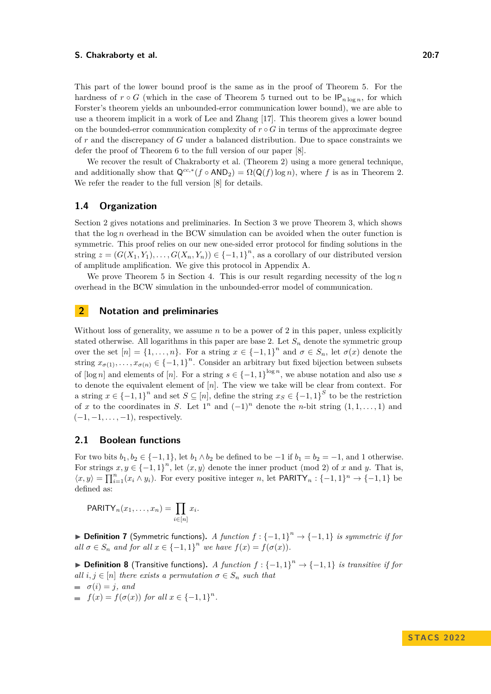This part of the lower bound proof is the same as in the proof of Theorem [5.](#page-2-3) For the hardness of  $r \circ G$  (which in the case of Theorem [5](#page-2-3) turned out to be  $\mathsf{IP}_{n \log n}$ , for which Forster's theorem yields an unbounded-error communication lower bound), we are able to use a theorem implicit in a work of Lee and Zhang [\[17\]](#page-17-3). This theorem gives a lower bound on the bounded-error communication complexity of  $r \circ G$  in terms of the approximate degree of *r* and the discrepancy of *G* under a balanced distribution. Due to space constraints we defer the proof of Theorem [6](#page-5-0) to the full version of our paper [\[8\]](#page-16-10).

We recover the result of Chakraborty et al. (Theorem [2\)](#page-2-0) using a more general technique, and additionally show that  $Q^{cc,*}(f \circ AND_2) = \Omega(Q(f) \log n)$ , where f is as in Theorem [2.](#page-2-0) We refer the reader to the full version [\[8\]](#page-16-10) for details.

# **1.4 Organization**

Section [2](#page-6-0) gives notations and preliminaries. In Section [3](#page-9-0) we prove Theorem [3,](#page-2-2) which shows that the log *n* overhead in the BCW simulation can be avoided when the outer function is symmetric. This proof relies on our new one-sided error protocol for finding solutions in the string  $z = (G(X_1, Y_1), \ldots, G(X_n, Y_n)) \in \{-1, 1\}^n$ , as a corollary of our distributed version of amplitude amplification. We give this protocol in Appendix [A.](#page-17-4)

We prove Theorem [5](#page-2-3) in Section [4.](#page-12-1) This is our result regarding necessity of the  $\log n$ overhead in the BCW simulation in the unbounded-error model of communication.

# <span id="page-6-0"></span>**2 Notation and preliminaries**

Without loss of generality, we assume *n* to be a power of 2 in this paper, unless explicitly stated otherwise. All logarithms in this paper are base 2. Let  $S_n$  denote the symmetric group over the set  $[n] = \{1, \ldots, n\}$ . For a string  $x \in \{-1, 1\}^n$  and  $\sigma \in S_n$ , let  $\sigma(x)$  denote the string  $x_{\sigma(1)}, \ldots, x_{\sigma(n)} \in \{-1,1\}^n$ . Consider an arbitrary but fixed bijection between subsets of  $\lceil \log n \rceil$  and elements of  $\lceil n \rceil$ . For a string  $s \in \{-1,1\}^{\log n}$ , we abuse notation and also use *s* to denote the equivalent element of [*n*]. The view we take will be clear from context. For a string  $x \in \{-1, 1\}^n$  and set  $S \subseteq [n]$ , define the string  $x_S \in \{-1, 1\}^S$  to be the restriction of *x* to the coordinates in *S*. Let  $1^n$  and  $(-1)^n$  denote the *n*-bit string  $(1,1,\ldots,1)$  and (−1*,* −1*, . . . ,* −1), respectively.

## **2.1 Boolean functions**

For two bits  $b_1, b_2 \in \{-1, 1\}$ , let  $b_1 \wedge b_2$  be defined to be  $-1$  if  $b_1 = b_2 = -1$ , and 1 otherwise. For strings  $x, y \in \{-1, 1\}^n$ , let  $\langle x, y \rangle$  denote the inner product (mod 2) of *x* and *y*. That is,  $\langle x, y \rangle = \prod_{i=1}^{n} (x_i \wedge y_i)$ . For every positive integer *n*, let PARITY<sub>*n*</sub> : {-1*,* 1}<sup>*n*</sup>  $\rightarrow$  {-1*,* 1} be defined as:

$$
PARITY_n(x_1,\ldots,x_n)=\prod_{i\in[n]}x_i.
$$

▶ **Definition 7** (Symmetric functions). *A function*  $f: {-1, 1}^n \rightarrow {-1, 1}$  *is symmetric if for all*  $\sigma \in S_n$  *and for all*  $x \in \{-1, 1\}^n$  *we have*  $f(x) = f(\sigma(x))$ *.* 

▶ **Definition 8** (Transitive functions). *A function*  $f: {-1, 1}^n \rightarrow {-1, 1}$  *is transitive if for all*  $i, j \in [n]$  *there exists a permutation*  $\sigma \in S_n$  *such that* 

$$
\begin{array}{ll} \bullet \quad \sigma(i) = j, \text{ and} \\ \bullet \quad f(x) = f(\sigma(x)) \text{ for all } x \in \{-1, 1\}^n. \end{array}
$$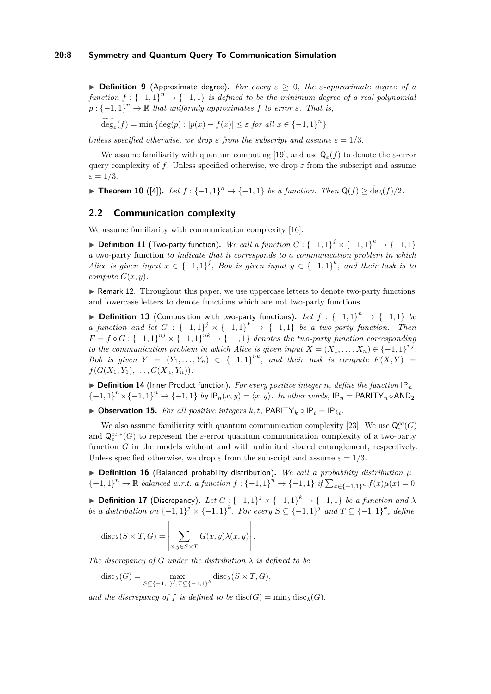▶ **Definition 9** (Approximate degree)**.** *For every ε* ≥ 0*, the ε-approximate degree of a function*  $f: \{-1,1\}^n \to \{-1,1\}$  *is defined to be the minimum degree of a real polynomial*  $p: {-1, 1}^n \to \mathbb{R}$  *that uniformly approximates*  $f$  *to error*  $\varepsilon$ *. That is,* 

 $\widetilde{\deg}_{\varepsilon}(f) = \min \left\{ \deg(p) : |p(x) - f(x)| \le \varepsilon \text{ for all } x \in \{-1, 1\}^n \right\}.$ 

*Unless specified otherwise, we drop*  $\varepsilon$  *from the subscript and assume*  $\varepsilon = 1/3$ *.* 

We assume familiarity with quantum computing [\[19\]](#page-17-5), and use  $Q_{\varepsilon}(f)$  to denote the  $\varepsilon$ -error query complexity of *f*. Unless specified otherwise, we drop  $\varepsilon$  from the subscript and assume  $\varepsilon = 1/3$ .

▶ **Theorem 10** ([\[4\]](#page-16-11)). Let  $f: \{-1, 1\}^n \to \{-1, 1\}$  be a function. Then  $Q(f) \ge \widetilde{\deg}(f)/2$ .

# **2.2 Communication complexity**

We assume familiarity with communication complexity [\[16\]](#page-16-0).

▶ **Definition 11** (Two-party function). We call a function  $G: \{-1,1\}^j \times \{-1,1\}^k \rightarrow \{-1,1\}$ *a* two-party function *to indicate that it corresponds to a communication problem in which Alice is given input*  $x \in \{-1, 1\}^j$ , Bob is given input  $y \in \{-1, 1\}^k$ , and their task is to *compute*  $G(x, y)$ *.* 

▶ Remark 12. Throughout this paper, we use uppercase letters to denote two-party functions, and lowercase letters to denote functions which are not two-party functions.

▶ **Definition 13** (Composition with two-party functions). Let  $f : \{-1,1\}^n \rightarrow \{-1,1\}$  be *a function and let*  $G: \{-1,1\}^j \times \{-1,1\}^k \rightarrow \{-1,1\}$  *be a two-party function. Then*  $F = f \circ G : \{-1,1\}^{nj} \times \{-1,1\}^{nk} \rightarrow \{-1,1\}$  denotes the two-party function corresponding *to the communication problem in which Alice is given input*  $X = (X_1, \ldots, X_n) \in \{-1, 1\}^{nj}$ , *Bob is given*  $Y = (Y_1, \ldots, Y_n) \in \{-1, 1\}^{nk}$ , and their task is compute  $F(X, Y) =$  $f(G(X_1, Y_1), \ldots, G(X_n, Y_n)).$ 

 $\triangleright$  **Definition 14** (Inner Product function). For every positive integer *n*, define the function IP<sub>n</sub>:  ${-1, 1}^n \times {-1, 1}^n \to {-1, 1}$  *by*  $\mathsf{IP}_n(x, y) = \langle x, y \rangle$ *. In other words,*  $\mathsf{IP}_n = \mathsf{PARITY}_n \circ \mathsf{AND}_2$ *.* 

<span id="page-7-2"></span>▶ **Observation 15.** *For all positive integers*  $k, t$ , PARITY<sub> $k$ </sub>  $\circ$  IP<sub>t</sub> = IP<sub>kt</sub>*.* 

We also assume familiarity with quantum communication complexity [\[23\]](#page-17-6). We use  $\mathsf{Q}^{cc}_{\varepsilon}(G)$ and  $Q_{\varepsilon}^{cc,*}(G)$  to represent the  $\varepsilon$ -error quantum communication complexity of a two-party function *G* in the models without and with unlimited shared entanglement, respectively. Unless specified otherwise, we drop  $\varepsilon$  from the subscript and assume  $\varepsilon = 1/3$ .

<span id="page-7-1"></span> $\triangleright$  **Definition 16** (Balanced probability distribution). We call a probability distribution  $\mu$ : {-1*,* 1}<sup>n</sup> → ℝ *balanced w.r.t. a function*  $f: {-1, 1}$ <sup>n</sup> → {-1*,* 1} *if*  $\sum_{x \in {-1, 1}^n} f(x) \mu(x) = 0$ .

<span id="page-7-0"></span>▶ **Definition 17** (Discrepancy). Let  $G: \{-1,1\}^j \times \{-1,1\}^k \rightarrow \{-1,1\}$  be a function and  $\lambda$ *be a distribution on*  ${-1, 1}^j \times {-1, 1}^k$ . For every  $S \subseteq {-1, 1}^j$  and  $T \subseteq {-1, 1}^k$ , define

$$
\operatorname{disc}_{\lambda}(S \times T, G) = \left| \sum_{x, y \in S \times T} G(x, y) \lambda(x, y) \right|.
$$

*The discrepancy of*  $G$  *under the distribution*  $\lambda$  *is defined to be* 

$$
disc_{\lambda}(G) = \max_{S \subseteq \{-1,1\}^j, T \subseteq \{-1,1\}^k} \text{disc}_{\lambda}(S \times T, G),
$$

*and the discrepancy of f is defined to be* disc(*G*) = min<sub> $\lambda$ </sub> disc<sub> $\lambda$ </sub>(*G*)*.*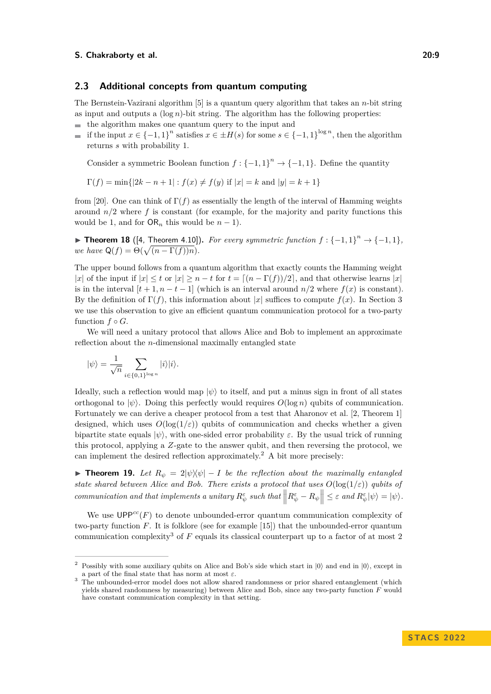## <span id="page-8-2"></span>**2.3 Additional concepts from quantum computing**

The Bernstein-Vazirani algorithm [\[5\]](#page-16-12) is a quantum query algorithm that takes an *n*-bit string as input and outputs a  $(\log n)$ -bit string. The algorithm has the following properties:

- $\blacksquare$  the algorithm makes one quantum query to the input and
- if the input  $x \in \{-1,1\}^n$  satisfies  $x \in \pm H(s)$  for some  $s \in \{-1,1\}^{\log n}$ , then the algorithm  $\overline{a}$ returns *s* with probability 1.

Consider a symmetric Boolean function  $f: \{-1, 1\}^n \to \{-1, 1\}$ . Define the quantity

 $\Gamma(f) = \min\{|2k - n + 1| : f(x) \neq f(y) \text{ if } |x| = k \text{ and } |y| = k + 1\}$ 

from [\[20\]](#page-17-7). One can think of  $\Gamma(f)$  as essentially the length of the interval of Hamming weights around *n/*2 where *f* is constant (for example, for the majority and parity functions this would be 1, and for  $OR_n$  this would be  $n-1$ ).

<span id="page-8-3"></span>▶ **Theorem 18** ([\[4,](#page-16-11) Theorem 4.10]). For every symmetric function  $f: \{-1, 1\}^n \rightarrow \{-1, 1\}$ , *we have*  $Q(f) = \Theta(\sqrt{(n - \Gamma(f))n}).$ 

The upper bound follows from a quantum algorithm that exactly counts the Hamming weight |*x*| of the input if  $|x| \le t$  or  $|x| \ge n - t$  for  $t = \lfloor (n - \Gamma(f))/2 \rfloor$ , and that otherwise learns  $|x|$ is in the interval  $[t+1, n-t-1]$  (which is an interval around  $n/2$  where  $f(x)$  is constant). By the definition of  $\Gamma(f)$ , this information about |*x*| suffices to compute  $f(x)$ . In Section [3](#page-9-0) we use this observation to give an efficient quantum communication protocol for a two-party function  $f \circ G$ .

We will need a unitary protocol that allows Alice and Bob to implement an approximate reflection about the *n*-dimensional maximally entangled state

$$
|\psi\rangle = \frac{1}{\sqrt{n}} \sum_{i \in \{0,1\}^{\log n}} |i\rangle |i\rangle.
$$

Ideally, such a reflection would map  $|\psi\rangle$  to itself, and put a minus sign in front of all states orthogonal to  $|\psi\rangle$ . Doing this perfectly would requires  $O(\log n)$  qubits of communication. Fortunately we can derive a cheaper protocol from a test that Aharonov et al. [\[2,](#page-16-7) Theorem 1] designed, which uses  $O(\log(1/\varepsilon))$  qubits of communication and checks whether a given bipartite state equals  $|\psi\rangle$ , with one-sided error probability  $\varepsilon$ . By the usual trick of running this protocol, applying a *Z*-gate to the answer qubit, and then reversing the protocol, we can implement the desired reflection approximately.<sup>[2](#page-8-0)</sup> A bit more precisely:

<span id="page-8-4"></span>▶ **Theorem 19.** Let  $R_{\psi} = 2|\psi\rangle\langle\psi| - I$  be the reflection about the maximally entangled *state shared between Alice and Bob. There exists a protocol that uses*  $O(\log(1/\varepsilon))$  *qubits of* communication and that implements a unitary  $R^{\varepsilon}_{\psi}$  such that  $\left\|R^{\varepsilon}_{\psi}-R_{\psi}\right\| \leq \varepsilon$  and  $R^{\varepsilon}_{\psi}|\psi\rangle = |\psi\rangle$ .

We use  $\mathsf{UPP}^{cc}(F)$  to denote unbounded-error quantum communication complexity of two-party function *F*. It is folklore (see for example [\[15\]](#page-16-13)) that the unbounded-error quantum communication complexity[3](#page-8-1) of *F* equals its classical counterpart up to a factor of at most 2

<span id="page-8-0"></span>Possibly with some auxiliary qubits on Alice and Bob's side which start in  $|0\rangle$  and end in  $|0\rangle$ , except in a part of the final state that has norm at most *ε*.

<span id="page-8-1"></span><sup>3</sup> The unbounded-error model does not allow shared randomness or prior shared entanglement (which yields shared randomness by measuring) between Alice and Bob, since any two-party function *F* would have constant communication complexity in that setting.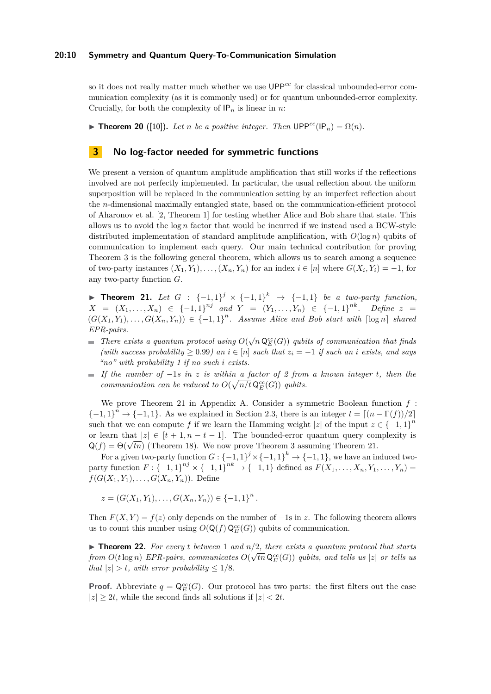### **20:10 Symmetry and Quantum Query-To-Communication Simulation**

so it does not really matter much whether we use  $\mathsf{UPP}^{cc}$  for classical unbounded-error communication complexity (as it is commonly used) or for quantum unbounded-error complexity. Crucially, for both the complexity of  $IP_n$  is linear in *n*:

<span id="page-9-2"></span>▶ **Theorem 20** ([\[10\]](#page-16-9)). Let *n* be a positive integer. Then  $\text{UPP}^{cc}(\text{IP}_n) = \Omega(n)$ .

# <span id="page-9-0"></span>**3 No log-factor needed for symmetric functions**

We present a version of quantum amplitude amplification that still works if the reflections involved are not perfectly implemented. In particular, the usual reflection about the uniform superposition will be replaced in the communication setting by an imperfect reflection about the *n*-dimensional maximally entangled state, based on the communication-efficient protocol of Aharonov et al. [\[2,](#page-16-7) Theorem 1] for testing whether Alice and Bob share that state. This allows us to avoid the log *n* factor that would be incurred if we instead used a BCW-style distributed implementation of standard amplitude amplification, with  $O(\log n)$  qubits of communication to implement each query. Our main technical contribution for proving Theorem [3](#page-2-2) is the following general theorem, which allows us to search among a sequence of two-party instances  $(X_1, Y_1), \ldots, (X_n, Y_n)$  for an index  $i \in [n]$  where  $G(X_i, Y_i) = -1$ , for any two-party function *G*.

<span id="page-9-1"></span>▶ **Theorem 21.** Let  $G$  :  $\{-1,1\}^j$  ×  $\{-1,1\}^k$  →  $\{-1,1\}$  be a two-party function,  $X = (X_1, \ldots, X_n) \in \{-1, 1\}^{nj}$  and  $Y = (Y_1, \ldots, Y_n) \in \{-1, 1\}^{nk}$ *. Define*  $z =$  $(G(X_1, Y_1), \ldots, G(X_n, Y_n)) \in \{-1, 1\}^n$ . Assume Alice and Bob start with  $\lceil \log n \rceil$  shared *EPR-pairs.*

- *There exists a quantum protocol using*  $O(\sqrt{n} \mathsf{Q}_{E}^{cc}(G))$  *qubits of communication that finds (with success probability* ≥ 0*.*99*) an i* ∈ [*n*] *such that z<sup>i</sup>* = −1 *if such an i exists, and says "no" with probability 1 if no such i exists.*
- *If the number of* −1*s in z is within a factor of 2 from a known integer t, then the communication can be reduced to*  $O(\sqrt{n/t} \mathsf{Q}_{E}^{cc}(G))$  *qubits.*

We prove Theorem [21](#page-9-1) in Appendix [A.](#page-17-4) Consider a symmetric Boolean function *f* :  ${-1, 1}^n \rightarrow {-1, 1}$ . As we explained in Section [2.3,](#page-8-2) there is an integer  $t = \lfloor (n - \Gamma(f))/2 \rfloor$ such that we can compute *f* if we learn the Hamming weight  $|z|$  of the input  $z \in \{-1,1\}^n$ or learn that  $|z| \in [t+1, n-t-1]$ . The bounded-error quantum query complexity is or learn that  $|z| \in [t+1, n-t-1]$ . The bounded-error quantum query con<br> $Q(f) = \Theta(\sqrt{tn})$  (Theorem [18\)](#page-8-3). We now prove Theorem [3](#page-2-2) assuming Theorem [21.](#page-9-1)

For a given two-party function  $G: \{-1,1\}^j \times \{-1,1\}^k \to \{-1,1\}$ , we have an induced two- $\text{party function } F: \{-1, 1\}^{nj} \times \{-1, 1\}^{nk} \to \{-1, 1\} \text{ defined as } F(X_1, \ldots, X_n, Y_1, \ldots, Y_n) =$ *f*( $G(X_1, Y_1), \ldots, G(X_n, Y_n)$ ). Define

 $z = (G(X_1, Y_1), \ldots, G(X_n, Y_n)) \in \{-1, 1\}^n$ .

Then  $F(X, Y) = f(z)$  only depends on the number of  $-1s$  in *z*. The following theorem allows us to count this number using  $O(Q(f) Q_E^{cc}(G))$  qubits of communication.

▶ **Theorem 22.** *For every t between* 1 *and*  $n/2$ *, there exists a quantum protocol that starts from*  $O(t \log n)$  *EPR-pairs, communicates*  $O(\sqrt{tn} \mathsf{Q}_{E}^{cc}(G))$  *qubits, and tells us* |*z*| *or tells us that*  $|z| > t$ *, with error probability*  $\leq 1/8$ *.* 

**Proof.** Abbreviate  $q = \mathbb{Q}_E^{cc}(G)$ . Our protocol has two parts: the first filters out the case  $|z| \geq 2t$ , while the second finds all solutions if  $|z| < 2t$ .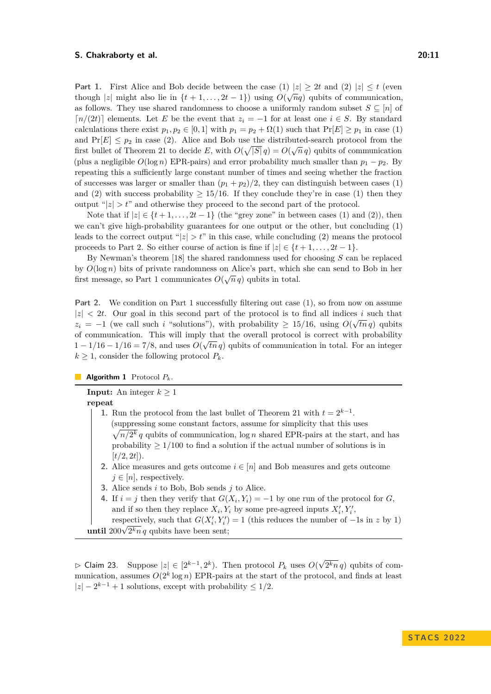**Part 1.** First Alice and Bob decide between the case (1)  $|z| \geq 2t$  and (2)  $|z| \leq t$  (even though  $|z|$  might also lie in  $\{t + 1, \ldots, 2t - 1\}$ ) using  $O(\sqrt{nq})$  qubits of communication, as follows. They use shared randomness to choose a uniformly random subset  $S \subseteq [n]$  of  $\lceil n/(2t) \rceil$  elements. Let *E* be the event that  $z_i = −1$  for at least one  $i \in S$ . By standard calculations there exist  $p_1, p_2 \in [0, 1]$  with  $p_1 = p_2 + \Omega(1)$  such that  $Pr[E] \geq p_1$  in case (1) and  $Pr[E] \leq p_2$  in case (2). Alice and Bob use the distributed-search protocol from the first bullet of Theorem [21](#page-9-1) to decide *E*, with  $O(\sqrt{|S|}q) = O(\sqrt{n}q)$  qubits of communication (plus a negligible  $O(\log n)$  EPR-pairs) and error probability much smaller than  $p_1 - p_2$ . By repeating this a sufficiently large constant number of times and seeing whether the fraction of successes was larger or smaller than  $(p_1 + p_2)/2$ , they can distinguish between cases (1) and (2) with success probability  $\geq 15/16$ . If they conclude they're in case (1) then they output " $|z| > t$ " and otherwise they proceed to the second part of the protocol.

Note that if  $|z| \in \{t+1, \ldots, 2t-1\}$  (the "grey zone" in between cases (1) and (2)), then we can't give high-probability guarantees for one output or the other, but concluding (1) leads to the correct output " $|z| > t$ " in this case, while concluding (2) means the protocol proceeds to Part 2. So either course of action is fine if  $|z| \in \{t+1, \ldots, 2t-1\}$ .

By Newman's theorem [\[18\]](#page-17-8) the shared randomness used for choosing *S* can be replaced by *O*(log *n*) bits of private randomness on Alice's part, which she can send to Bob in her first message, so Part 1 communicates  $O(\sqrt{n}q)$  qubits in total.

**Part 2.** We condition on Part 1 successfully filtering out case (1), so from now on assume  $|z| < 2t$ . Our goal in this second part of the protocol is to find all indices *i* such that  $z_i = -1$  (we call such *i* "solutions"), with probability  $\geq 15/16$ , using  $O(\sqrt{tn q})$  qubits of communication. This will imply that the overall protocol is correct with probability  $1 - 1/16 - 1/16 = 7/8$ , and uses  $O(\sqrt{tn q})$  qubits of communication in total. For an integer  $k \geq 1$ , consider the following protocol  $P_k$ .

**Algorithm 1** Protocol *Pk*.

**Input:** An integer  $k \geq 1$ 

**repeat**

- **1.** Run the protocol from the last bullet of Theorem [21](#page-9-1) with  $t = 2^{k-1}$ . (suppressing some constant factors, assume for simplicity that this uses  $\sqrt{n/2^k} q$  qubits of communication,  $\log n$  shared EPR-pairs at the start, and has probability  $\geq 1/100$  to find a solution if the actual number of solutions is in  $[t/2, 2t]$ ).
- **2.** Alice measures and gets outcome  $i \in [n]$  and Bob measures and gets outcome  $j \in [n]$ , respectively.
- **3.** Alice sends *i* to Bob, Bob sends *j* to Alice.
- **4.** If  $i = j$  then they verify that  $G(X_i, Y_i) = -1$  by one run of the protocol for *G*, and if so then they replace  $X_i, Y_i$  by some pre-agreed inputs  $X'_i, Y'_i$ ,

respectively, such that  $G(X'_{i}, Y'_{i}) = 1$  (this reduces the number of  $-1$ s in *z* by 1) **until**  $200\sqrt{2^k n} q$  qubits have been sent;

<span id="page-10-0"></span> $\triangleright$  Claim 23. Suppose  $|z| \in [2^{k-1}, 2^k)$ . Then protocol  $P_k$  uses  $O(n)$ √  $(2<sup>k</sup>n q)$  qubits of communication, assumes  $O(2^k \log n)$  EPR-pairs at the start of the protocol, and finds at least  $|z| - 2^{k-1} + 1$  solutions, except with probability  $\leq 1/2$ .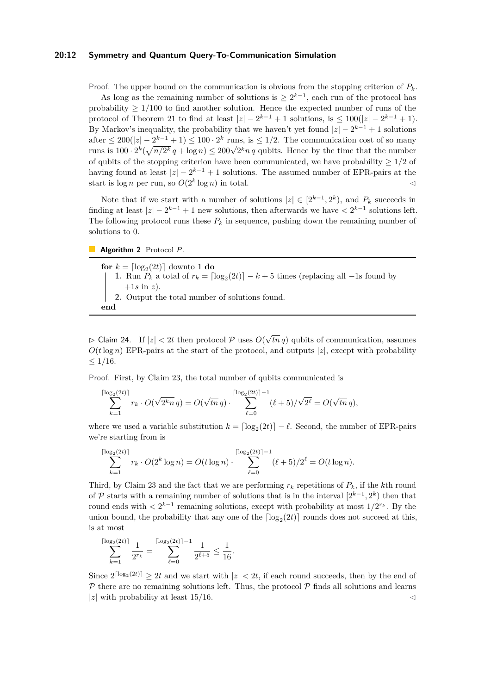## **20:12 Symmetry and Quantum Query-To-Communication Simulation**

Proof. The upper bound on the communication is obvious from the stopping criterion of *Pk*.

As long as the remaining number of solutions is  $\geq 2^{k-1}$ , each run of the protocol has probability ≥ 1*/*100 to find another solution. Hence the expected number of runs of the protocol of Theorem [21](#page-9-1) to find at least  $|z| - 2^{k-1} + 1$  solutions, is  $\leq 100(|z| - 2^{k-1} + 1)$ . By Markov's inequality, the probability that we haven't yet found  $|z| - 2^{k-1} + 1$  solutions after  $\leq 200(|z|-2^{k-1}+1) \leq 100 \cdot 2^k$  runs, is  $\leq 1/2$ . The communication cost of so many arter  $\leq 200(|z| - 2^{z} + 1) \leq 100 \cdot 2^k$  runs, is  $\leq 1/2$ . The communication cost of so many<br>runs is  $100 \cdot 2^k (\sqrt{n}/2^k q + \log n) \leq 200\sqrt{2^k n} q$  qubits. Hence by the time that the number of qubits of the stopping criterion have been communicated, we have probability  $\geq 1/2$  of having found at least  $|z| - 2^{k-1} + 1$  solutions. The assumed number of EPR-pairs at the start is  $\log n$  per run, so  $O(2^k \log n)$  in total.

Note that if we start with a number of solutions  $|z| \in [2^{k-1}, 2^k)$ , and  $P_k$  succeeds in finding at least  $|z| - 2^{k-1} + 1$  new solutions, then afterwards we have  $\langle 2^{k-1} \rangle$  solutions left. The following protocol runs these  $P_k$  in sequence, pushing down the remaining number of solutions to 0.

**Algorithm 2** Protocol *P*.

**for**  $k = \lfloor \log_2(2t) \rfloor$  downto 1 **do 1.** Run  $P_k$  a total of  $r_k = \lfloor \log_2(2t) \rfloor - k + 5$  times (replacing all  $-1$ s found by  $+1s$  in z). **2.** Output the total number of solutions found. **end**

 $\triangleright$  Claim 24. If  $|z| < 2t$  then protocol  $\mathcal P$  uses  $O(\sqrt{2t})$ *tn q*) qubits of communication, assumes  $O(t \log n)$  EPR-pairs at the start of the protocol, and outputs |*z*|, except with probability  $\leq 1/16$ .

Proof. First, by Claim [23,](#page-10-0) the total number of qubits communicated is

$$
\sum_{k=1}^{\lceil \log_2(2t) \rceil} r_k \cdot O(\sqrt{2^k n} q) = O(\sqrt{tn} q) \cdot \sum_{\ell=0}^{\lceil \log_2(2t) \rceil - 1} (\ell + 5) / \sqrt{2^{\ell}} = O(\sqrt{tn} q),
$$

where we used a variable substitution  $k = \lfloor \log_2(2t) \rfloor - \ell$ . Second, the number of EPR-pairs we're starting from is

$$
\sum_{k=1}^{\lceil \log_2(2t) \rceil} r_k \cdot O(2^k \log n) = O(t \log n) \cdot \sum_{\ell=0}^{\lceil \log_2(2t) \rceil - 1} (\ell + 5)/2^{\ell} = O(t \log n).
$$

Third, by Claim [23](#page-10-0) and the fact that we are performing  $r_k$  repetitions of  $P_k$ , if the *k*th round of P starts with a remaining number of solutions that is in the interval  $[2^{k-1}, 2^k)$  then that round ends with  $\langle 2^{k-1} \rangle$  remaining solutions, except with probability at most  $1/2^{r_k}$ . By the union bound, the probability that any one of the  $\lceil \log_2(2t) \rceil$  rounds does not succeed at this, is at most

$$
\sum_{k=1}^{\lceil \log_2(2t) \rceil} \frac{1}{2^{r_k}} = \sum_{\ell=0}^{\lceil \log_2(2t) \rceil -1} \frac{1}{2^{\ell+5}} \leq \frac{1}{16}.
$$

Since  $2^{\lceil \log_2(2t) \rceil} \geq 2t$  and we start with  $|z| < 2t$ , if each round succeeds, then by the end of  $P$  there are no remaining solutions left. Thus, the protocol  $P$  finds all solutions and learns  $|z|$  with probability at least  $15/16$ .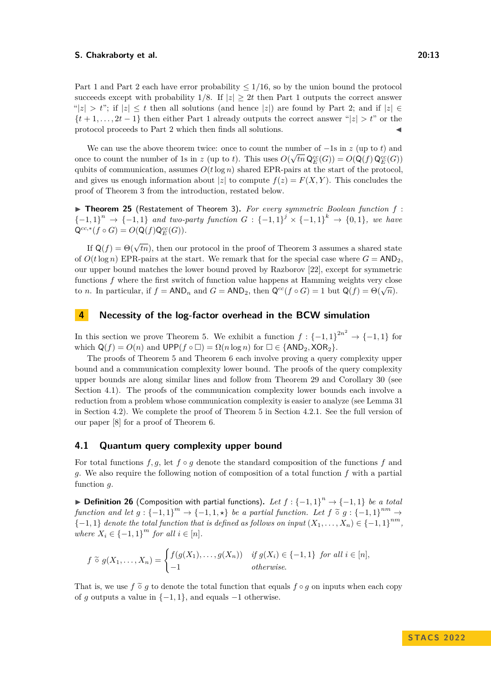Part 1 and Part 2 each have error probability ≤ 1*/*16, so by the union bound the protocol succeeds except with probability  $1/8$ . If  $|z| \geq 2t$  then Part 1 outputs the correct answer  $||z| > t$ ; if  $|z| < t$  then all solutions (and hence |*z*|) are found by Part 2; and if  $|z| \in$  ${t+1,\ldots,2t-1}$  then either Part 1 already outputs the correct answer " $|z| > t$ " or the protocol proceeds to Part 2 which then finds all solutions.

We can use the above theorem twice: once to count the number of  $-1$ s in  $z$  (up to *t*) and once to count the number of 1s in *z* (up to *t*). This uses  $O(\sqrt{tn} \mathsf{Q}_{E}^{cc}(G)) = O(\mathsf{Q}(f) \mathsf{Q}_{E}^{cc}(G))$ qubits of communication, assumes  $O(t \log n)$  shared EPR-pairs at the start of the protocol, and gives us enough information about  $|z|$  to compute  $f(z) = F(X, Y)$ . This concludes the proof of Theorem [3](#page-2-2) from the introduction, restated below.

▶ **Theorem 25** (Restatement of Theorem [3\)](#page-2-2)**.** *For every symmetric Boolean function f* : {-1*,* 1}<sup>*n*</sup> → {-1*,* 1} *and two-party function*  $G: \{-1,1\}^j \times \{-1,1\}^k \rightarrow \{0,1\}$ *, we have*  $Q^{cc,*}(f \circ G) = O(Q(f)Q_E^{cc}(G)).$ 

If  $\mathsf{Q}(f) = \Theta(\sqrt{tn})$ , then our protocol in the proof of Theorem [3](#page-2-2) assumes a shared state of  $O(t \log n)$  EPR-pairs at the start. We remark that for the special case where  $G = AND_2$ . our upper bound matches the lower bound proved by Razborov [\[22\]](#page-17-9), except for symmetric functions *f* where the first switch of function value happens at Hamming weights very close to *n*. In particular, if  $f = AND_n$  and  $G = AND_2$ , then  $Q^{cc}(f \circ G) = 1$  but  $Q(f) = \Theta(\sqrt{n})$ .

# <span id="page-12-1"></span>**4 Necessity of the log-factor overhead in the BCW simulation**

In this section we prove Theorem [5.](#page-2-3) We exhibit a function  $f: \{-1,1\}^{2n^2} \to \{-1,1\}$  for which  $Q(f) = O(n)$  and  $UPP(f \circ \Box) = \Omega(n \log n)$  for  $\Box \in \{\text{AND}_2, \text{XOR}_2\}.$ 

The proofs of Theorem [5](#page-2-3) and Theorem [6](#page-5-0) each involve proving a query complexity upper bound and a communication complexity lower bound. The proofs of the query complexity upper bounds are along similar lines and follow from Theorem [29](#page-13-1) and Corollary [30](#page-14-2) (see Section [4.1\)](#page-12-2). The proofs of the communication complexity lower bounds each involve a reduction from a problem whose communication complexity is easier to analyze (see Lemma [31](#page-14-1) in Section [4.2\)](#page-14-3). We complete the proof of Theorem [5](#page-2-3) in Section [4.2.1.](#page-14-4) See the full version of our paper [\[8\]](#page-16-10) for a proof of Theorem [6.](#page-5-0)

## <span id="page-12-2"></span>**4.1 Quantum query complexity upper bound**

For total functions  $f, g$ , let  $f \circ g$  denote the standard composition of the functions  $f$  and *g*. We also require the following notion of composition of a total function *f* with a partial function *g*.

<span id="page-12-0"></span>▶ **Definition 26** (Composition with partial functions). Let  $f: \{-1,1\}^n \rightarrow \{-1,1\}$  be a total *function and let*  $g : \{-1,1\}^m \to \{-1,1,\star\}$  *be a partial function. Let*  $f \circ g : \{-1,1\}^{nm} \to$  ${-1, 1}$  *denote the total function that is defined as follows on input*  $(X_1, \ldots, X_n) \in {-1, 1}^{nm}$ , *where*  $X_i \in \{-1, 1\}^m$  *for all*  $i \in [n]$ *.* 

$$
f \tilde{\circ} g(X_1, \ldots, X_n) = \begin{cases} f(g(X_1), \ldots, g(X_n)) & \text{if } g(X_i) \in \{-1, 1\} \text{ for all } i \in [n], \\ -1 & \text{otherwise.} \end{cases}
$$

That is, we use  $f \, \tilde{\circ} \, g$  to denote the total function that equals  $f \circ g$  on inputs when each copy of *g* outputs a value in  $\{-1, 1\}$ , and equals  $-1$  otherwise.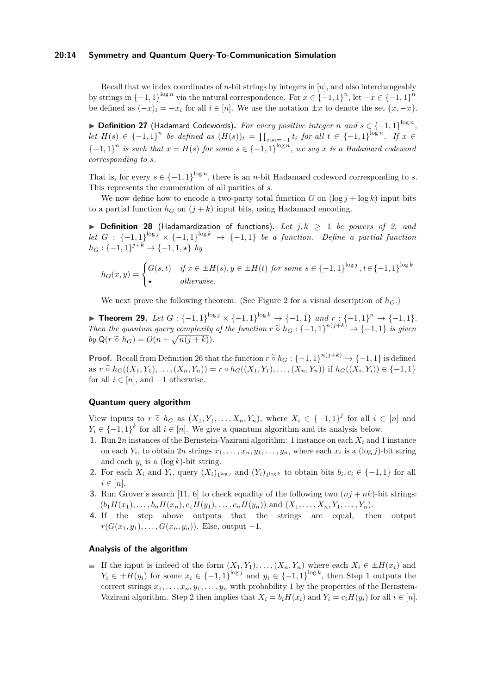#### **20:14 Symmetry and Quantum Query-To-Communication Simulation**

Recall that we index coordinates of *n*-bit strings by integers in [*n*], and also interchangeably by strings in  $\{-1, 1\}^{\log n}$  via the natural correspondence. For  $x \in \{-1, 1\}^n$ , let  $-x \in \{-1, 1\}^n$ be defined as  $(-x)_i = -x_i$  for all  $i \in [n]$ . We use the notation  $\pm x$  to denote the set  $\{x, -x\}$ .

▶ **Definition 27** (Hadamard Codewords). For every positive integer *n* and  $s \in \{-1,1\}^{\log n}$ , let  $H(s) \in \{-1,1\}^n$  be defined as  $(H(s))_t = \prod_{i:s_i=-1} t_i$  for all  $t \in \{-1,1\}^{\log n}$ . If  $x \in$  ${-1, 1}$ <sup>n</sup> is such that  $x = H(s)$  for some  $s \in \{-1, 1\}^{\log n}$ , we say x is a Hadamard codeword *corresponding to s.*

That is, for every  $s \in \{-1,1\}^{\log n}$ , there is an *n*-bit Hadamard codeword corresponding to *s*. This represents the enumeration of all parities of *s*.

We now define how to encode a two-party total function *G* on  $(\log i + \log k)$  input bits to a partial function  $h_G$  on  $(j + k)$  input bits, using Hadamard encoding.

<span id="page-13-0"></span>▶ **Definition 28** (Hadamardization of functions). Let  $j, k \ge 1$  be powers of 2, and *let G* : {−1*,* 1}<sup> $log j$ </sup> × {−1*,* 1}<sup> $log k$ </sup> → {−1*,* 1} *be a function. Define a partial function*  $h_G: \{-1, 1\}^{j+k} \to \{-1, 1, \star\}$  *by* 

$$
h_G(x,y) = \begin{cases} G(s,t) & \text{if } x \in \pm H(s), y \in \pm H(t) \text{ for some } s \in \{-1,1\}^{\log j}, t \in \{-1,1\}^{\log k} \\ \star & \text{otherwise.} \end{cases}
$$

We next prove the following theorem. (See Figure [2](#page-5-1) for a visual description of  $h_G$ .)

<span id="page-13-1"></span>▶ **Theorem 29.** Let  $G: \{-1,1\}^{\log j} \times \{-1,1\}^{\log k} \to \{-1,1\}$  and  $r: \{-1,1\}^n \to \{-1,1\}$ . *Then the quantum query complexity of the function*  $r \tilde{\circ} h_G : \{-1,1\}^{n(j+k)} \to \{-1,1\}$  *is given*  $h_G(\tilde{\circ} h_G) \circ \tilde{G}$  $by \ Q(r \ \tilde{\circ} \ h_G) = O(n + \sqrt{n(j+k)})$ .

**Proof.** Recall from Definition [26](#page-12-0) that the function  $r \tilde{\circ} h_G : \{-1,1\}^{n(j+k)} \to \{-1,1\}$  is defined as  $r \tilde{\circ} h_G((X_1, Y_1), \ldots, (X_n, Y_n)) = r \circ h_G((X_1, Y_1), \ldots, (X_n, Y_n))$  if  $h_G((X_i, Y_i)) \in \{-1, 1\}$ <br>for all  $i \in [n]$  and  $i \in \{-1, 1\}$ for all  $i \in [n]$ , and  $-1$  otherwise.

## **Quantum query algorithm**

View inputs to  $r \tilde{\circ} h_G$  as  $(X_1, Y_1, \ldots, X_n, Y_n)$ , where  $X_i \in \{-1, 1\}^j$  for all  $i \in [n]$  and  $Y \in \{-1, 1\}^k$  for all  $i \in [n]$  and  $Y_i \in \{-1,1\}^k$  for all  $i \in [n]$ . We give a quantum algorithm and its analysis below.

- <span id="page-13-2"></span>**1.** Run 2*n* instances of the Bernstein-Vazirani algorithm: 1 instance on each *X<sup>i</sup>* and 1 instance on each  $Y_i$ , to obtain  $2n$  strings  $x_1, \ldots, x_n, y_1, \ldots, y_n$ , where each  $x_i$  is a  $(\log j)$ -bit string and each  $y_i$  is a (log  $k$ )-bit string.
- <span id="page-13-3"></span>**2.** For each  $X_i$  and  $Y_i$ , query  $(X_i)_{1^{\log j}}$  and  $(Y_i)_{1^{\log k}}$  to obtain bits  $b_i, c_i \in \{-1, 1\}$  for all  $i \in [n]$ .
- <span id="page-13-4"></span>**3.** Run Grover's search [\[11,](#page-16-2) [6\]](#page-16-14) to check equality of the following two  $(nj + nk)$ -bit strings:  $(b_1H(x_1),...,b_nH(x_n),c_1H(y_1),...,c_nH(y_n))$  and  $(X_1,...,X_n,Y_1,...,Y_n)$ .
- **4.** If the step above outputs that the strings are equal, then output *r*( $G(x_1, y_1)$ , . . . ,  $G(x_n, y_n)$ ). Else, output −1.

# **Analysis of the algorithm**

If the input is indeed of the form  $(X_1, Y_1), \ldots, (X_n, Y_n)$  where each  $X_i \in \pm H(x_i)$  and *Y*<sub>*i*</sub> ∈  $±H(y_i)$  for some  $x_i$  ∈ {−1*,* [1](#page-13-2)}<sup> $log j$ </sup> and  $y_i$  ∈ {−1*,* 1}<sup> $log k$ </sup>, then Step 1 outputs the correct strings  $x_1, \ldots, x_n, y_1, \ldots, y_n$  with probability 1 by the properties of the Bernstein-Vazirani algorithm. Step [2](#page-13-3) then implies that  $X_i = b_i H(x_i)$  and  $Y_i = c_i H(y_i)$  for all  $i \in [n]$ .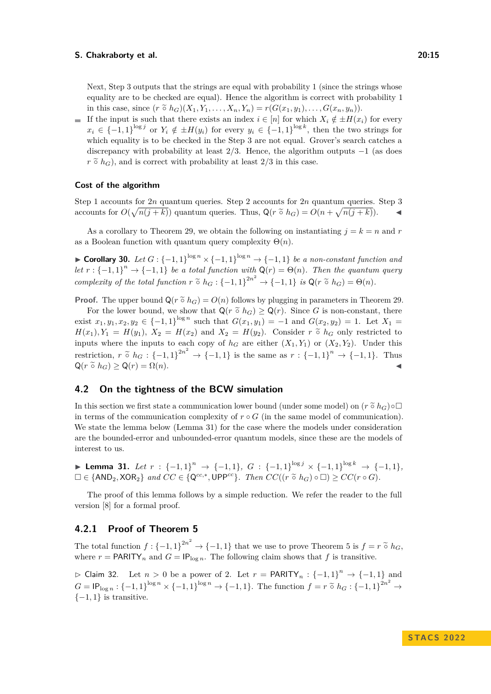Next, Step [3](#page-13-4) outputs that the strings are equal with probability 1 (since the strings whose equality are to be checked are equal). Hence the algorithm is correct with probability 1 in this case, since  $(r \tilde{\circ} h_G)(X_1, Y_1, \ldots, X_n, Y_n) = r(G(x_1, y_1), \ldots, G(x_n, y_n)).$ 

If the input is such that there exists an index  $i \in [n]$  for which  $X_i \notin \pm H(x_i)$  for every  $x_i \in \{-1,1\}^{\log j}$  or  $Y_i \notin \pm H(y_i)$  for every  $y_i \in \{-1,1\}^{\log k}$ , then the two strings for which equality is to be checked in the Step [3](#page-13-4) are not equal. Grover's search catches a discrepancy with probability at least 2*/*3. Hence, the algorithm outputs −1 (as does  $r \tilde{\circ} h_G$ , and is correct with probability at least  $2/3$  in this case.

## **Cost of the algorithm**

Step [1](#page-13-2) accounts for 2*n* quantum queries. Step [2](#page-13-3) accounts for 2*n* quantum queries. Step [3](#page-13-4) accounts for  $O(\sqrt{n(j+k)})$  quantum queries. Thus,  $Q(r \tilde{\circ} h_G) = O(n + \sqrt{n(j+k)})$ .

As a corollary to Theorem [29,](#page-13-1) we obtain the following on instantiating  $j = k = n$  and r as a Boolean function with quantum query complexity  $\Theta(n)$ .

<span id="page-14-2"></span>▶ **Corollary 30.** *Let*  $G: \{-1,1\}^{\log n} \times \{-1,1\}^{\log n} \rightarrow \{-1,1\}$  *be a non-constant function and let*  $r : \{-1,1\}^n \to \{-1,1\}$  *be a total function with*  $Q(r) = \Theta(n)$ *. Then the quantum query complexity of the total function*  $r \tilde{\circ} h_G : \{-1,1\}^{2n^2} \to \{-1,1\}$  *is*  $Q(r \tilde{\circ} h_G) = \Theta(n)$ *.* 

**Proof.** The upper bound  $Q(r \tilde{\circ} h_G) = O(n)$  follows by plugging in parameters in Theorem [29.](#page-13-1)

For the lower bound, we show that  $Q(r \tilde{\circ} h_G) \geq Q(r)$ . Since *G* is non-constant, there exist  $x_1, y_1, x_2, y_2 \in \{-1, 1\}^{\log n}$  such that  $G(x_1, y_1) = -1$  and  $G(x_2, y_2) = 1$ . Let  $X_1 =$  $H(x_1), Y_1 = H(y_1), X_2 = H(x_2)$  and  $X_2 = H(y_2)$ . Consider  $r \propto h_G$  only restricted to inputs where the inputs to each copy of  $h_G$  are either  $(X_1, Y_1)$  or  $(X_2, Y_2)$ . Under this restriction,  $r \tilde{\circ} h_G : \{-1, 1\}^{2n^2} \to \{-1, 1\}$  is the same as  $r : \{-1, 1\}^n \to \{-1, 1\}$ . Thus  $Q(r \tilde{\circ} h_G) > Q(r) = \Omega(n).$ 

## <span id="page-14-3"></span>**4.2 On the tightness of the BCW simulation**

In this section we first state a communication lower bound (under some model) on  $(r \tilde{\circ} h_G) \circ \Box$ in terms of the communication complexity of  $r \circ G$  (in the same model of communication). We state the lemma below (Lemma [31\)](#page-14-1) for the case where the models under consideration are the bounded-error and unbounded-error quantum models, since these are the models of interest to us.

<span id="page-14-1"></span>▶ **Lemma 31.** *Let*  $r : \{-1,1\}^n \rightarrow \{-1,1\}$ ,  $G : \{-1,1\}^{\log j} \times \{-1,1\}^{\log k} \rightarrow \{-1,1\}$ ,  $\square \in \{\text{AND}_2, \text{XOR}_2\}$  and  $CC \in \{\mathsf{Q}^{cc,*}, \text{UPP}^{cc}\}\$ . Then  $CC((r \tilde{\circ} h_G) \circ \square) \ge CC(r \circ G)$ .

The proof of this lemma follows by a simple reduction. We refer the reader to the full version [\[8\]](#page-16-10) for a formal proof.

# <span id="page-14-4"></span>**4.2.1 Proof of Theorem [5](#page-2-3)**

The total function  $f : \{-1, 1\}^{2n^2} \to \{-1, 1\}$  that we use to prove Theorem [5](#page-2-3) is  $f = r \circ h_G$ , where  $r = \text{PARITY}_n$  and  $G = \text{IP}_{\text{log }n}$ . The following claim shows that f is transitive.

<span id="page-14-0"></span> $\rhd$  Claim 32. Let *n* > 0 be a power of 2. Let *r* = PARITY<sub>*n*</sub> : {-1, 1}<sup>*n*</sup> → {-1, 1} and  $G = \mathsf{IP}_{\log n} : \{-1, 1\}^{\log n} \times \{-1, 1\}^{\log n} \to \{-1, 1\}.$  The function  $f = r \circ h_G : \{-1, 1\}^{2n^2} \to \{-1, 1\}$  is transitive.  $\{-1, 1\}$  is transitive.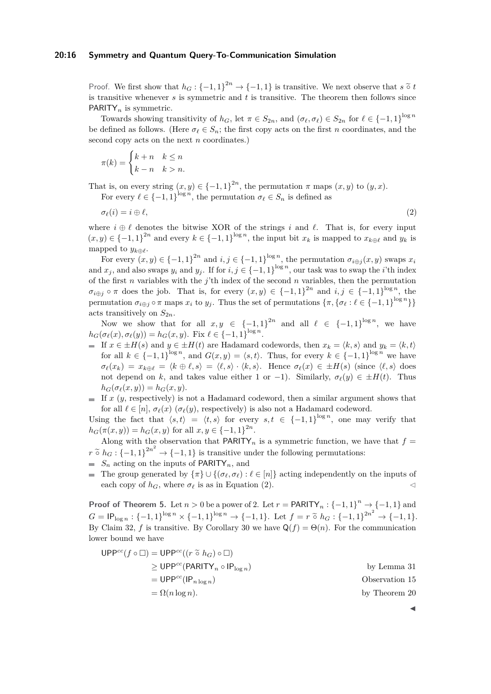#### **20:16 Symmetry and Quantum Query-To-Communication Simulation**

Proof. We first show that  $h_G: \{-1,1\}^{2n} \to \{-1,1\}$  is transitive. We next observe that  $s \circ t$  is transitive when  $f$  and  $f$  is transitive. The theorem than follows since is transitive whenever *s* is symmetric and *t* is transitive. The theorem then follows since PARITY*<sup>n</sup>* is symmetric.

Towards showing transitivity of  $h_G$ , let  $\pi \in S_{2n}$ , and  $(\sigma_\ell, \sigma_\ell) \in S_{2n}$  for  $\ell \in \{-1, 1\}^{\log n}$ be defined as follows. (Here  $\sigma_\ell \in S_n$ ; the first copy acts on the first *n* coordinates, and the second copy acts on the next *n* coordinates.)

$$
\pi(k) = \begin{cases} k+n & k \le n \\ k-n & k > n. \end{cases}
$$

That is, on every string  $(x, y) \in \{-1, 1\}^{2n}$ , the permutation  $\pi$  maps  $(x, y)$  to  $(y, x)$ . For every  $\ell \in \{-1,1\}^{\log n}$ , the permutation  $\sigma_{\ell} \in S_n$  is defined as

<span id="page-15-0"></span>
$$
\sigma_{\ell}(i) = i \oplus \ell,\tag{2}
$$

where  $i \oplus \ell$  denotes the bitwise XOR of the strings *i* and  $\ell$ . That is, for every input  $(x, y) \in \{-1, 1\}^{2n}$  and every  $k \in \{-1, 1\}^{\log n}$ , the input bit  $x_k$  is mapped to  $x_{k \oplus \ell}$  and  $y_k$  is mapped to  $y_{k \oplus \ell}$ .

For every  $(x, y) \in \{-1, 1\}^{2n}$  and  $i, j \in \{-1, 1\}^{\log n}$ , the permutation  $\sigma_{i \oplus j}(x, y)$  swaps  $x_i$ and  $x_j$ , and also swaps  $y_i$  and  $y_j$ . If for  $i, j \in \{-1, 1\}^{\log n}$ , our task was to swap the *i*'th index of the first *n* variables with the *j*'th index of the second *n* variables, then the permutation  $\sigma_{i\oplus j} \circ \pi$  does the job. That is, for every  $(x, y) \in \{-1, 1\}^{2n}$  and  $i, j \in \{-1, 1\}^{\log n}$ , the permutation  $\sigma_{i\oplus j} \circ \pi$  maps  $x_i$  to  $y_j$ . Thus the set of permutations  $\{\pi, \{\sigma_\ell : \ell \in \{-1,1\}^{\log n}\}\}\$ acts transitively on  $S_{2n}$ .

Now we show that for all  $x, y \in \{-1, 1\}^{2n}$  and all  $\ell \in \{-1, 1\}^{\log n}$ , we have  $h_G(\sigma_\ell(x), \sigma_\ell(y)) = h_G(x, y)$ . Fix  $\ell \in \{-1, 1\}^{\log n}$ .

- If  $x \in \pm H(s)$  and  $y \in \pm H(t)$  are Hadamard codewords, then  $x_k = \langle k, s \rangle$  and  $y_k = \langle k, t \rangle$ for all  $k \in \{-1,1\}^{\log n}$ , and  $G(x,y) = \langle s,t \rangle$ . Thus, for every  $k \in \{-1,1\}^{\log n}$  we have  $\sigma_{\ell}(x_k) = x_{k \oplus \ell} = \langle k \oplus \ell, s \rangle = \langle \ell, s \rangle \cdot \langle k, s \rangle$ . Hence  $\sigma_{\ell}(x) \in \pm H(s)$  (since  $\langle \ell, s \rangle$  does not depend on *k*, and takes value either 1 or −1). Similarly,  $\sigma_{\ell}(y) \in \pm H(t)$ . Thus  $h_G(\sigma_\ell(x,y)) = h_G(x,y).$
- $\blacksquare$  If x (y, respectively) is not a Hadamard codeword, then a similar argument shows that for all  $\ell \in [n]$ ,  $\sigma_{\ell}(x)$  ( $\sigma_{\ell}(y)$ , respectively) is also not a Hadamard codeword.

Using the fact that  $\langle s,t\rangle = \langle t,s\rangle$  for every  $s,t \in \{-1,1\}^{\log n}$ , one may verify that  $h_G(\pi(x, y)) = h_G(x, y)$  for all  $x, y \in \{-1, 1\}^{2n}$ .

Along with the observation that **PARITY**<sub>n</sub> is a symmetric function, we have that  $f =$  $r \tilde{\circ} h_G : \{-1,1\}^{2n^2} \to \{-1,1\}$  is transitive under the following permutations:<br> $S$  esting an the inputs of **DAPITY** and

- $S_n$  acting on the inputs of PARITY<sub>n</sub>, and
- The group generated by {*π*} ∪ {(*σℓ, σℓ*) : *ℓ* ∈ [*n*]} acting independently on the inputs of each copy of  $h_G$ , where  $\sigma_\ell$  is as in Equation [\(2\)](#page-15-0).

**Proof of Theorem [5.](#page-2-3)** Let  $n > 0$  be a power of 2. Let  $r = \text{PARITY}_n : \{-1, 1\}^n \to \{-1, 1\}$  and  $G = \mathsf{IP}_{\log n} : \{-1, 1\}^{\log n} \times \{-1, 1\}^{\log n} \to \{-1, 1\}.$  Let  $f = r \circ h_G : \{-1, 1\}^{2n^2} \to \{-1, 1\}.$ By Claim [32,](#page-14-0) *f* is transitive. By Corollary [30](#page-14-2) we have  $Q(f) = \Theta(n)$ . For the communication lower bound we have

$$
UPP^{cc}(f \circ \Box) = UPP^{cc}((r \tilde{\circ} h_G) \circ \Box)
$$
  
\n
$$
\geq UPP^{cc}(PARITY_n \circ IP_{\log n})
$$
 by Lemma 31  
\n
$$
= UPP^{cc}((P_{n \log n})
$$
Observation 15  
\n
$$
= \Omega(n \log n).
$$
 by Theorem 20

◀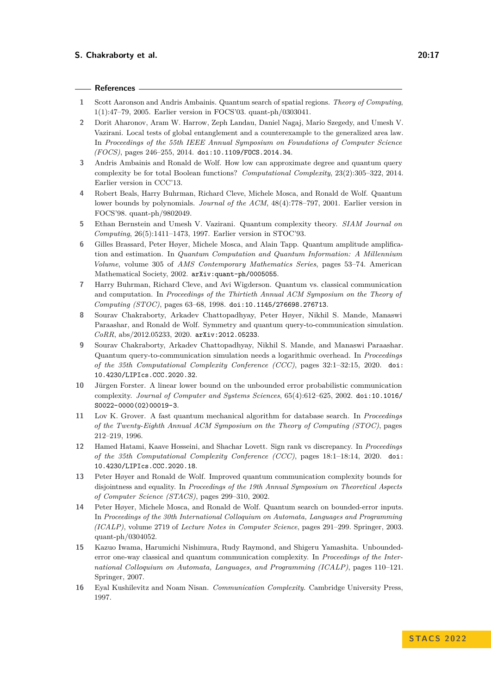#### **References**

- <span id="page-16-5"></span>**1** Scott Aaronson and Andris Ambainis. Quantum search of spatial regions. *Theory of Computing*, 1(1):47–79, 2005. Earlier version in FOCS'03. quant-ph/0303041.
- <span id="page-16-7"></span>**2** Dorit Aharonov, Aram W. Harrow, Zeph Landau, Daniel Nagaj, Mario Szegedy, and Umesh V. Vazirani. Local tests of global entanglement and a counterexample to the generalized area law. In *Proceedings of the 55th IEEE Annual Symposium on Foundations of Computer Science (FOCS)*, pages 246–255, 2014. [doi:10.1109/FOCS.2014.34](https://doi.org/10.1109/FOCS.2014.34).
- <span id="page-16-8"></span>**3** Andris Ambainis and Ronald de Wolf. How low can approximate degree and quantum query complexity be for total Boolean functions? *Computational Complexity*, 23(2):305–322, 2014. Earlier version in CCC'13.
- <span id="page-16-11"></span>**4** Robert Beals, Harry Buhrman, Richard Cleve, Michele Mosca, and Ronald de Wolf. Quantum lower bounds by polynomials. *Journal of the ACM*, 48(4):778–797, 2001. Earlier version in FOCS'98. quant-ph/9802049.
- <span id="page-16-12"></span>**5** Ethan Bernstein and Umesh V. Vazirani. Quantum complexity theory. *SIAM Journal on Computing*, 26(5):1411–1473, 1997. Earlier version in STOC'93.
- <span id="page-16-14"></span>**6** Gilles Brassard, Peter Høyer, Michele Mosca, and Alain Tapp. Quantum amplitude amplification and estimation. In *Quantum Computation and Quantum Information: A Millennium Volume*, volume 305 of *AMS Contemporary Mathematics Series*, pages 53–74. American Mathematical Society, 2002. [arXiv:quant-ph/0005055](https:arXiv.org/abs/quant-ph/0005055).
- <span id="page-16-1"></span>**7** Harry Buhrman, Richard Cleve, and Avi Wigderson. Quantum vs. classical communication and computation. In *Proceedings of the Thirtieth Annual ACM Symposium on the Theory of Computing (STOC)*, pages 63–68, 1998. [doi:10.1145/276698.276713](https://doi.org/10.1145/276698.276713).
- <span id="page-16-10"></span>**8** Sourav Chakraborty, Arkadev Chattopadhyay, Peter Høyer, Nikhil S. Mande, Manaswi Paraashar, and Ronald de Wolf. Symmetry and quantum query-to-communication simulation. *CoRR*, abs/2012.05233, 2020. [arXiv:2012.05233](http://arxiv.org/abs/2012.05233).
- <span id="page-16-3"></span>**9** Sourav Chakraborty, Arkadev Chattopadhyay, Nikhil S. Mande, and Manaswi Paraashar. Quantum query-to-communication simulation needs a logarithmic overhead. In *Proceedings of the 35th Computational Complexity Conference (CCC)*, pages 32:1–32:15, 2020. [doi:](https://doi.org/10.4230/LIPIcs.CCC.2020.32) [10.4230/LIPIcs.CCC.2020.32](https://doi.org/10.4230/LIPIcs.CCC.2020.32).
- <span id="page-16-9"></span>**10** Jürgen Forster. A linear lower bound on the unbounded error probabilistic communication complexity. *Journal of Computer and Systems Sciences*, 65(4):612–625, 2002. [doi:10.1016/](https://doi.org/10.1016/S0022-0000(02)00019-3) [S0022-0000\(02\)00019-3](https://doi.org/10.1016/S0022-0000(02)00019-3).
- <span id="page-16-2"></span>**11** Lov K. Grover. A fast quantum mechanical algorithm for database search. In *Proceedings of the Twenty-Eighth Annual ACM Symposium on the Theory of Computing (STOC)*, pages 212–219, 1996.
- <span id="page-16-6"></span>**12** Hamed Hatami, Kaave Hosseini, and Shachar Lovett. Sign rank vs discrepancy. In *Proceedings of the 35th Computational Complexity Conference (CCC)*, pages 18:1–18:14, 2020. [doi:](https://doi.org/10.4230/LIPIcs.CCC.2020.18) [10.4230/LIPIcs.CCC.2020.18](https://doi.org/10.4230/LIPIcs.CCC.2020.18).
- <span id="page-16-4"></span>**13** Peter Høyer and Ronald de Wolf. Improved quantum communication complexity bounds for disjointness and equality. In *Proceedings of the 19th Annual Symposium on Theoretical Aspects of Computer Science (STACS)*, pages 299–310, 2002.
- <span id="page-16-15"></span>**14** Peter Høyer, Michele Mosca, and Ronald de Wolf. Quantum search on bounded-error inputs. In *Proceedings of the 30th International Colloquium on Automata, Languages and Programming (ICALP)*, volume 2719 of *Lecture Notes in Computer Science*, pages 291–299. Springer, 2003. quant-ph/0304052.
- <span id="page-16-13"></span>**15** Kazuo Iwama, Harumichi Nishimura, Rudy Raymond, and Shigeru Yamashita. Unboundederror one-way classical and quantum communication complexity. In *Proceedings of the International Colloquium on Automata, Languages, and Programming (ICALP)*, pages 110–121. Springer, 2007.
- <span id="page-16-0"></span>**16** Eyal Kushilevitz and Noam Nisan. *Communication Complexity*. Cambridge University Press, 1997.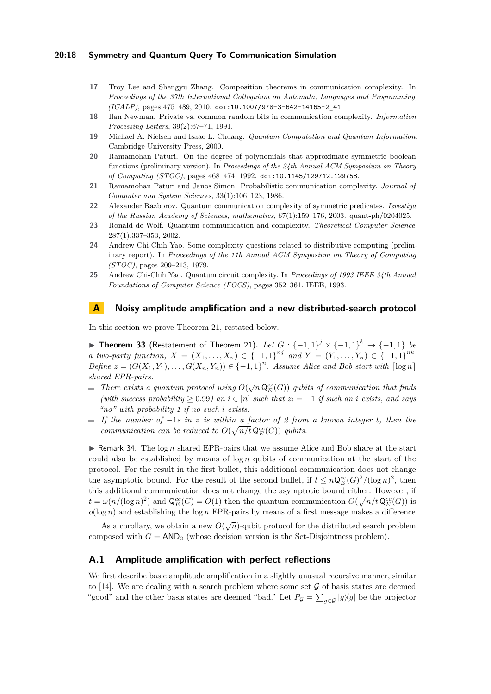## **20:18 Symmetry and Quantum Query-To-Communication Simulation**

- <span id="page-17-3"></span>**17** Troy Lee and Shengyu Zhang. Composition theorems in communication complexity. In *Proceedings of the 37th International Colloquium on Automata, Languages and Programming, (ICALP)*, pages 475–489, 2010. [doi:10.1007/978-3-642-14165-2\\_41](https://doi.org/10.1007/978-3-642-14165-2_41).
- <span id="page-17-8"></span>**18** Ilan Newman. Private vs. common random bits in communication complexity. *Information Processing Letters*, 39(2):67–71, 1991.
- <span id="page-17-5"></span>**19** Michael A. Nielsen and Isaac L. Chuang. *Quantum Computation and Quantum Information*. Cambridge University Press, 2000.
- <span id="page-17-7"></span>**20** Ramamohan Paturi. On the degree of polynomials that approximate symmetric boolean functions (preliminary version). In *Proceedings of the 24th Annual ACM Symposium on Theory of Computing (STOC)*, pages 468–474, 1992. [doi:10.1145/129712.129758](https://doi.org/10.1145/129712.129758).
- <span id="page-17-2"></span>**21** Ramamohan Paturi and Janos Simon. Probabilistic communication complexity. *Journal of Computer and System Sciences*, 33(1):106–123, 1986.
- <span id="page-17-9"></span>**22** Alexander Razborov. Quantum communication complexity of symmetric predicates. *Izvestiya of the Russian Academy of Sciences, mathematics*, 67(1):159–176, 2003. quant-ph/0204025.
- <span id="page-17-6"></span>**23** Ronald de Wolf. Quantum communication and complexity. *Theoretical Computer Science*, 287(1):337–353, 2002.
- <span id="page-17-0"></span>**24** Andrew Chi-Chih Yao. Some complexity questions related to distributive computing (preliminary report). In *Proceedings of the 11h Annual ACM Symposium on Theory of Computing (STOC)*, pages 209–213, 1979.
- <span id="page-17-1"></span>**25** Andrew Chi-Chih Yao. Quantum circuit complexity. In *Proceedings of 1993 IEEE 34th Annual Foundations of Computer Science (FOCS)*, pages 352–361. IEEE, 1993.

# <span id="page-17-4"></span>**A Noisy amplitude amplification and a new distributed-search protocol**

In this section we prove Theorem [21,](#page-9-1) restated below.

▶ **Theorem 33** (Restatement of Theorem [21\)](#page-9-1)**.** *Let G* : {−1*,* 1} *<sup>j</sup>* × {−1*,* 1} *<sup>k</sup>* → {−1*,* 1} *be a two-party function,*  $X = (X_1, ..., X_n) \in \{-1, 1\}^{nj}$  *and*  $Y = (Y_1, ..., Y_n) \in \{-1, 1\}^{nk}$ . *Define*  $z = (G(X_1, Y_1), \ldots, G(X_n, Y_n)) \in \{-1, 1\}^n$ . Assume Alice and Bob start with  $\lceil \log n \rceil$ *shared EPR-pairs.*

- *There exists a quantum protocol using*  $O(\sqrt{n} \mathsf{Q}_{E}^{cc}(G))$  *qubits of communication that finds*  $\blacksquare$ *(with success probability* ≥ 0*.*99*) an i* ∈ [*n*] *such that z<sup>i</sup>* = −1 *if such an i exists, and says "no" with probability 1 if no such i exists.*
- *If the number of* −1*s in z is within a factor of 2 from a known integer t, then the communication can be reduced to*  $O(\sqrt{n/t} \mathsf{Q}_{E}^{cc}(G))$  *qubits.*

 $\triangleright$  Remark 34. The log *n* shared EPR-pairs that we assume Alice and Bob share at the start could also be established by means of log *n* qubits of communication at the start of the protocol. For the result in the first bullet, this additional communication does not change the asymptotic bound. For the result of the second bullet, if  $t \leq n\mathsf{Q}_{E}^{cc}(G)^{2}/(\log n)^{2}$ , then this additional communication does not change the asymptotic bound either. However, if  $t = \omega(n/(\log n)^2)$  and  $\mathsf{Q}_{E}^{cc}(G) = O(1)$  then the quantum communication  $O(\sqrt{n/t} \mathsf{Q}_{E}^{cc}(G))$  is  $o(\log n)$  and establishing the  $\log n$  EPR-pairs by means of a first message makes a difference.

As a corollary, we obtain a new  $O(\sqrt{n})$ -qubit protocol for the distributed search problem composed with  $G = AND_2$  (whose decision version is the Set-Disjointness problem).

## **A.1 Amplitude amplification with perfect reflections**

We first describe basic amplitude amplification in a slightly unusual recursive manner, similar to [\[14\]](#page-16-15). We are dealing with a search problem where some set  $\mathcal G$  of basis states are deemed "good" and the other basis states are deemed "bad." Let  $P_{\mathcal{G}} = \sum_{g \in \mathcal{G}} |g\rangle\langle g|$  be the projector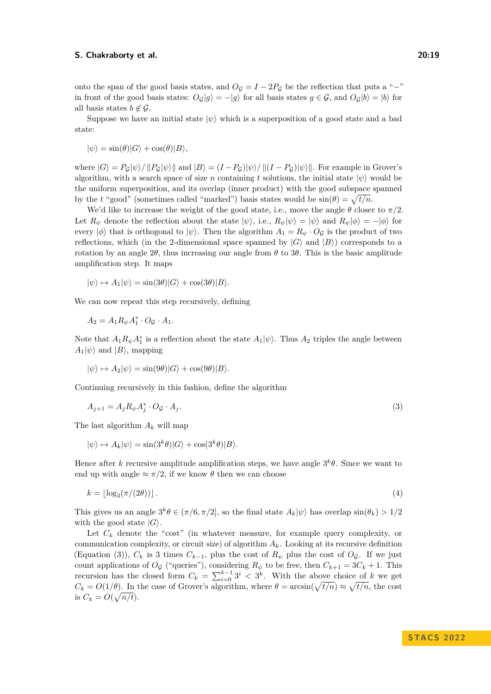onto the span of the good basis states, and  $O_G = I - 2P_G$  be the reflection that puts a "-" in front of the good basis states:  $O_{\mathcal{G}}|g\rangle = -|g\rangle$  for all basis states  $g \in \mathcal{G}$ , and  $O_{\mathcal{G}}|b\rangle = |b\rangle$  for all basis states  $b \notin \mathcal{G}$ .

Suppose we have an initial state  $|\psi\rangle$  which is a superposition of a good state and a bad state:

$$
|\psi\rangle = \sin(\theta)|G\rangle + \cos(\theta)|B\rangle,
$$

where  $|G\rangle = P_G|\psi\rangle / ||P_G|\psi\rangle||$  and  $|B\rangle = (I - P_G)|\psi\rangle / ||(I - P_G)|\psi\rangle||$ . For example in Grover's algorithm, with a search space of size *n* containing *t* solutions, the initial state  $|\psi\rangle$  would be the uniform superposition, and its overlap (inner product) with the good subspace spanned by the *t* "good" (sometimes called "marked") basis states would be  $sin(\theta) = \sqrt{t/n}$ .

We'd like to increase the weight of the good state, i.e., move the angle  $\theta$  closer to  $\pi/2$ . Let  $R_{\psi}$  denote the reflection about the state  $|\psi\rangle$ , i.e.,  $R_{\psi}|\psi\rangle = |\psi\rangle$  and  $R_{\psi}|\phi\rangle = -|\phi\rangle$  for every  $|\phi\rangle$  that is orthogonal to  $|\psi\rangle$ . Then the algorithm  $A_1 = R_\psi \cdot O_\mathcal{G}$  is the product of two reflections, which (in the 2-dimensional space spanned by  $|G\rangle$  and  $|B\rangle$ ) corresponds to a rotation by an angle  $2\theta$ , thus increasing our angle from  $\theta$  to  $3\theta$ . This is the basic amplitude amplification step. It maps

$$
|\psi\rangle \mapsto A_1|\psi\rangle = \sin(3\theta)|G\rangle + \cos(3\theta)|B\rangle.
$$

We can now repeat this step recursively, defining

$$
A_2 = A_1 R_{\psi} A_1^* \cdot O_{\mathcal{G}} \cdot A_1.
$$

Note that  $A_1 R_{\psi} A_1^*$  is a reflection about the state  $A_1 |\psi\rangle$ . Thus  $A_2$  triples the angle between  $A_1|\psi\rangle$  and  $|B\rangle$ , mapping

<span id="page-18-0"></span>
$$
|\psi\rangle \mapsto A_2|\psi\rangle = \sin(9\theta)|G\rangle + \cos(9\theta)|B\rangle.
$$

Continuing recursively in this fashion, define the algorithm

$$
A_{j+1} = A_j R_{\psi} A_j^* \cdot O_{\mathcal{G}} \cdot A_j. \tag{3}
$$

The last algorithm *A<sup>k</sup>* will map

<span id="page-18-1"></span>
$$
|\psi\rangle \mapsto A_k |\psi\rangle = \sin(3^k \theta) |G\rangle + \cos(3^k \theta) |B\rangle.
$$

Hence after *k* recursive amplitude amplification steps, we have angle  $3^k\theta$ . Since we want to end up with angle  $\approx \pi/2$ , if we know  $\theta$  then we can choose

$$
k = \lfloor \log_3(\pi/(2\theta)) \rfloor. \tag{4}
$$

This gives us an angle  $3^k\theta \in (\pi/6, \pi/2]$ , so the final state  $A_k|\psi\rangle$  has overlap  $\sin(\theta_k) > 1/2$ with the good state  $|G\rangle$ .

Let  $C_k$  denote the "cost" (in whatever measure, for example query complexity, or communication complexity, or circuit size) of algorithm *Ak*. Looking at its recursive definition (Equation [\(3\)](#page-18-0)),  $C_k$  is 3 times  $C_{k-1}$ , plus the cost of  $R_{\psi}$  plus the cost of  $O_{\mathcal{G}}$ . If we just count applications of  $O_\mathcal{G}$  ("queries"), considering  $R_\psi$  to be free, then  $C_{k+1} = 3C_k + 1$ . This recursion has the closed form  $C_k = \sum_{i=0}^{k-1} 3^i \leq 3^k$ . With the above choice of *k* we get  $C_k = O(1/\theta)$ . In the case of Grover's algorithm, where  $\theta = \arcsin(\sqrt{t/n}) \approx \sqrt{t/n}$ , the cost is  $C_k = O(\sqrt{n/t}).$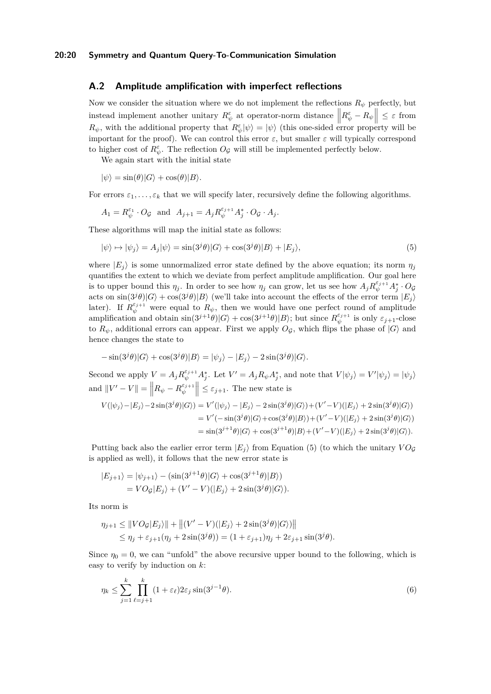# **A.2 Amplitude amplification with imperfect reflections**

Now we consider the situation where we do not implement the reflections  $R_{\psi}$  perfectly, but instead implement another unitary  $R^{\varepsilon}_{\psi}$  at operator-norm distance  $\left\| R^{\varepsilon}_{\psi} - R_{\psi} \right\| \leq \varepsilon$  from  $R_{\psi}$ , with the additional property that  $R_{\psi}^{\varepsilon}|\psi\rangle = |\psi\rangle$  (this one-sided error property will be important for the proof). We can control this error  $\varepsilon$ , but smaller  $\varepsilon$  will typically correspond to higher cost of  $R^{\varepsilon}_{\psi}$ . The reflection  $O_{\mathcal{G}}$  will still be implemented perfectly below.

We again start with the initial state

$$
|\psi\rangle = \sin(\theta)|G\rangle + \cos(\theta)|B\rangle.
$$

For errors  $\varepsilon_1, \ldots, \varepsilon_k$  that we will specify later, recursively define the following algorithms.

<span id="page-19-0"></span>
$$
A_1 = R_{\psi}^{\varepsilon_1} \cdot O_{\mathcal{G}} \quad \text{and} \quad A_{j+1} = A_j R_{\psi}^{\varepsilon_{j+1}} A_j^* \cdot O_{\mathcal{G}} \cdot A_j.
$$

These algorithms will map the initial state as follows:

$$
|\psi\rangle \mapsto |\psi_j\rangle = A_j |\psi\rangle = \sin(3^j \theta) |G\rangle + \cos(3^j \theta) |B\rangle + |E_j\rangle,
$$
\n(5)

where  $|E_j\rangle$  is some unnormalized error state defined by the above equation; its norm  $\eta_j$ quantifies the extent to which we deviate from perfect amplitude amplification. Our goal here is to upper bound this  $\eta_j$ . In order to see how  $\eta_j$  can grow, let us see how  $A_j R_{\psi}^{\varepsilon_{j+1}} A_j^* \cdot O_{\mathcal{G}}$ acts on  $\sin(3^j\theta)|G\rangle + \cos(3^j\theta)|B\rangle$  (we'll take into account the effects of the error term  $|E_j\rangle$ ) later). If  $R_{\psi}^{\varepsilon_{j+1}}$  were equal to  $R_{\psi}$ , then we would have one perfect round of amplitude  $\lim_{\phi} \frac{\partial^{\phi} f}{\partial x}$  and obtain  $\sin(3^{j+1}\theta)|G\rangle + \cos(3^{j+1}\theta)|B\rangle$ ; but since  $R^{\varepsilon_{j+1}}_{\psi}$  is only  $\varepsilon_{j+1}$ -close to  $R_{\psi}$ , additional errors can appear. First we apply  $O_{\mathcal{G}}$ , which flips the phase of  $|G\rangle$  and hence changes the state to

$$
-\sin(3^{j}\theta)|G\rangle + \cos(3^{j}\theta)|B\rangle = |\psi_{j}\rangle - |E_{j}\rangle - 2\sin(3^{j}\theta)|G\rangle.
$$

Second we apply  $V = A_j R_{\psi}^{\varepsilon_{j+1}} A_j^*$ . Let  $V' = A_j R_{\psi} A_j^*$ , and note that  $V|\psi_j\rangle = V'|\psi_j\rangle = |\psi_j\rangle$ and  $||V' - V|| = ||R_{\psi} - R_{\psi}^{\varepsilon_{j+1}}|| \leq \varepsilon_{j+1}$ . The new state is

$$
V(|\psi_j\rangle - |E_j\rangle - 2\sin(3^j\theta)|G\rangle) = V'(|\psi_j\rangle - |E_j\rangle - 2\sin(3^j\theta)|G\rangle) + (V'-V)(|E_j\rangle + 2\sin(3^j\theta)|G\rangle)
$$
  
= 
$$
V'(-\sin(3^j\theta)|G\rangle + \cos(3^j\theta)|B\rangle) + (V'-V)(|E_j\rangle + 2\sin(3^j\theta)|G\rangle)
$$
  
= 
$$
\sin(3^{j+1}\theta)|G\rangle + \cos(3^{j+1}\theta)|B\rangle + (V'-V)(|E_j\rangle + 2\sin(3^j\theta)|G\rangle).
$$

Putting back also the earlier error term  $|E_i\rangle$  from Equation [\(5\)](#page-19-0) (to which the unitary  $VO_G$ is applied as well), it follows that the new error state is

$$
|E_{j+1}\rangle = |\psi_{j+1}\rangle - (\sin(3^{j+1}\theta)|G\rangle + \cos(3^{j+1}\theta)|B\rangle)
$$
  
=  $VO_{\mathcal{G}}|E_j\rangle + (V'-V)(|E_j\rangle + 2\sin(3^j\theta)|G\rangle).$ 

Its norm is

$$
\eta_{j+1} \leq ||VO_{\mathcal{G}}|E_j\rangle|| + ||(V'-V)(|E_j\rangle + 2\sin(3^j\theta)|G\rangle)||
$$
  
\n
$$
\leq \eta_j + \varepsilon_{j+1}(\eta_j + 2\sin(3^j\theta)) = (1 + \varepsilon_{j+1})\eta_j + 2\varepsilon_{j+1}\sin(3^j\theta).
$$

Since  $\eta_0 = 0$ , we can "unfold" the above recursive upper bound to the following, which is easy to verify by induction on *k*:

$$
\eta_k \le \sum_{j=1}^k \prod_{\ell=j+1}^k (1 + \varepsilon_\ell) 2\varepsilon_j \sin(3^{j-1}\theta). \tag{6}
$$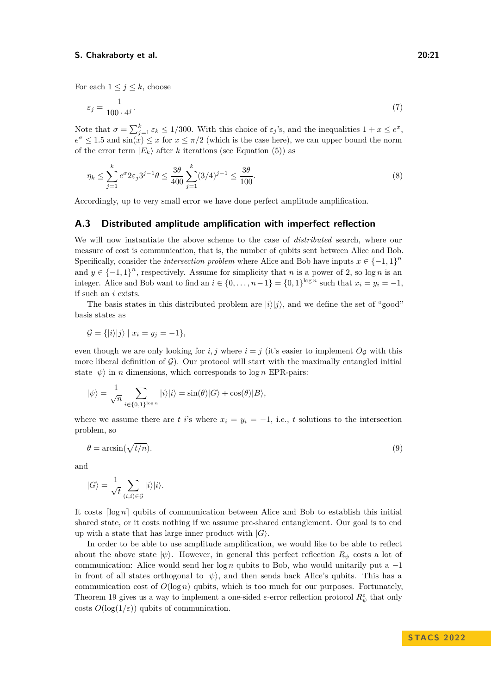For each  $1 \leq j \leq k$ , choose

<span id="page-20-0"></span>
$$
\varepsilon_j = \frac{1}{100 \cdot 4^j}.\tag{7}
$$

Note that  $\sigma = \sum_{j=1}^{k} \varepsilon_k \leq 1/300$ . With this choice of  $\varepsilon_j$ 's, and the inequalities  $1 + x \leq e^x$ ,  $e^{\sigma} \leq 1.5$  and  $\sin(x) \leq x$  for  $x \leq \pi/2$  (which is the case here), we can upper bound the norm of the error term  $|E_k\rangle$  after *k* iterations (see Equation [\(5\)](#page-19-0)) as

<span id="page-20-1"></span>
$$
\eta_k \le \sum_{j=1}^k e^{\sigma} 2\varepsilon_j 3^{j-1} \theta \le \frac{3\theta}{400} \sum_{j=1}^k (3/4)^{j-1} \le \frac{3\theta}{100}.
$$
 (8)

Accordingly, up to very small error we have done perfect amplitude amplification.

## **A.3 Distributed amplitude amplification with imperfect reflection**

We will now instantiate the above scheme to the case of *distributed* search, where our measure of cost is communication, that is, the number of qubits sent between Alice and Bob. Specifically, consider the *intersection problem* where Alice and Bob have inputs  $x \in \{-1,1\}^n$ and  $y \in \{-1,1\}^n$ , respectively. Assume for simplicity that *n* is a power of 2, so log *n* is an integer. Alice and Bob want to find an  $i \in \{0, \ldots, n-1\} = \{0,1\}^{\log n}$  such that  $x_i = y_i = -1$ , if such an *i* exists.

The basis states in this distributed problem are  $|i\rangle|j\rangle$ , and we define the set of "good" basis states as

$$
\mathcal{G} = \{ |i\rangle|j\rangle \mid x_i = y_j = -1 \},\
$$

even though we are only looking for  $i, j$  where  $i = j$  (it's easier to implement  $O<sub>G</sub>$  with this more liberal definition of  $\mathcal{G}$ ). Our protocol will start with the maximally entangled initial state  $|\psi\rangle$  in *n* dimensions, which corresponds to log *n* EPR-pairs:

$$
|\psi\rangle = \frac{1}{\sqrt{n}} \sum_{i \in \{0,1\}^{\log n}} |i\rangle |i\rangle = \sin(\theta)|G\rangle + \cos(\theta)|B\rangle,
$$

where we assume there are *t i*'s where  $x_i = y_i = -1$ , i.e., *t* solutions to the intersection problem, so

<span id="page-20-2"></span>
$$
\theta = \arcsin(\sqrt{t/n}).\tag{9}
$$

and

$$
|G\rangle = \frac{1}{\sqrt{t}} \sum_{(i,i) \in \mathcal{G}} |i\rangle |i\rangle.
$$

It costs  $\lceil \log n \rceil$  qubits of communication between Alice and Bob to establish this initial shared state, or it costs nothing if we assume pre-shared entanglement. Our goal is to end up with a state that has large inner product with  $|G\rangle$ .

In order to be able to use amplitude amplification, we would like to be able to reflect about the above state  $|\psi\rangle$ . However, in general this perfect reflection  $R_{\psi}$  costs a lot of communication: Alice would send her log *n* qubits to Bob, who would unitarily put a −1 in front of all states orthogonal to  $|\psi\rangle$ , and then sends back Alice's qubits. This has a communication cost of  $O(\log n)$  qubits, which is too much for our purposes. Fortunately, Theorem [19](#page-8-4) gives us a way to implement a one-sided  $\varepsilon$ -error reflection protocol  $R^{\varepsilon}_{\psi}$  that only costs  $O(\log(1/\varepsilon))$  qubits of communication.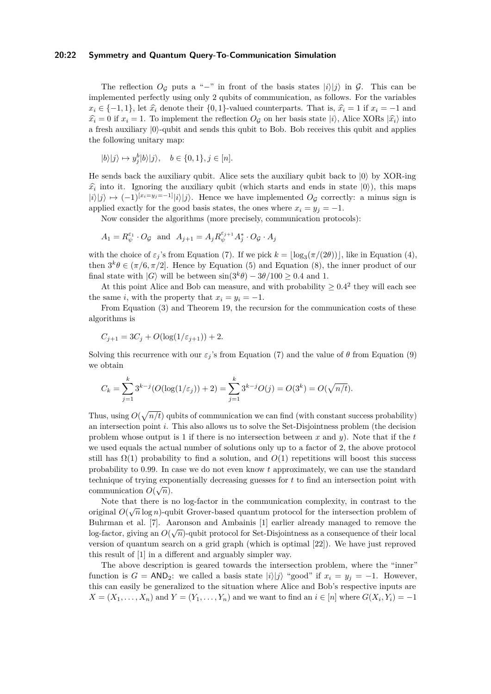### **20:22 Symmetry and Quantum Query-To-Communication Simulation**

The reflection  $O_G$  puts a "−" in front of the basis states  $|i\rangle|j\rangle$  in  $\mathcal{G}$ . This can be implemented perfectly using only 2 qubits of communication, as follows. For the variables  $x_i \in \{-1, 1\}$ , let  $\hat{x_i}$  denote their {0*,* 1}-valued counterparts. That is,  $\hat{x_i} = 1$  if  $x_i = -1$  and  $\hat{x}_i = 0$  if  $x_i = 1$ . To implement the reflection  $O_\mathcal{G}$  on her basis state  $|i\rangle$ , Alice XORs  $|\hat{x}_i\rangle$  into a fresh auxiliary  $|0\rangle$ -qubit and sends this qubit to Bob. Bob receives this qubit and applies the following unitary map:

$$
|b\rangle|j\rangle \mapsto y_j^b|b\rangle|j\rangle, \quad b \in \{0, 1\}, j \in [n].
$$

He sends back the auxiliary qubit. Alice sets the auxiliary qubit back to  $|0\rangle$  by XOR-ing  $\hat{x}_i$  into it. Ignoring the auxiliary qubit (which starts and ends in state  $|0\rangle$ ), this maps  $|i\rangle|j\rangle \mapsto (-1)^{[x_i=y_j=-1]}|i\rangle|j\rangle$ . Hence we have implemented  $O_G$  correctly: a minus sign is applied exactly for the good basis states, the ones where  $x_i = y_j = -1$ .

Now consider the algorithms (more precisely, communication protocols):

$$
A_1 = R_{\psi}^{\varepsilon_1} \cdot O_{\mathcal{G}} \text{ and } A_{j+1} = A_j R_{\psi}^{\varepsilon_{j+1}} A_j^* \cdot O_{\mathcal{G}} \cdot A_j
$$

with the choice of  $\varepsilon_j$ 's from Equation [\(7\)](#page-20-0). If we pick  $k = \lfloor \log_3(\pi/(2\theta)) \rfloor$ , like in Equation [\(4\)](#page-18-1), then  $3^k\theta \in (\pi/6, \pi/2]$ . Hence by Equation [\(5\)](#page-19-0) and Equation [\(8\)](#page-20-1), the inner product of our final state with  $|G\rangle$  will be between  $\sin(3^k\theta) - 3\theta/100 \geq 0.4$  and 1.

At this point Alice and Bob can measure, and with probability  $\geq 0.4^2$  they will each see the same *i*, with the property that  $x_i = y_i = -1$ .

From Equation [\(3\)](#page-18-0) and Theorem [19,](#page-8-4) the recursion for the communication costs of these algorithms is

$$
C_{j+1} = 3C_j + O(\log(1/\varepsilon_{j+1})) + 2.
$$

Solving this recurrence with our  $\varepsilon_j$ 's from Equation [\(7\)](#page-20-0) and the value of  $\theta$  from Equation [\(9\)](#page-20-2) we obtain

$$
C_k = \sum_{j=1}^k 3^{k-j} (O(\log(1/\varepsilon_j)) + 2) = \sum_{j=1}^k 3^{k-j} O(j) = O(3^k) = O(\sqrt{n/t}).
$$

Thus, using  $O(\sqrt{n/t})$  qubits of communication we can find (with constant success probability) an intersection point *i*. This also allows us to solve the Set-Disjointness problem (the decision problem whose output is 1 if there is no intersection between *x* and *y*). Note that if the *t* we used equals the actual number of solutions only up to a factor of 2, the above protocol still has  $\Omega(1)$  probability to find a solution, and  $O(1)$  repetitions will boost this success probability to 0*.*99. In case we do not even know *t* approximately, we can use the standard technique of trying exponentially decreasing guesses for  $t$  to find an intersection point with communication  $O(\sqrt{n})$ .

Note that there is no log-factor in the communication complexity, in contrast to the  $\sim$ original  $O(\sqrt{n}\log n)$ -qubit Grover-based quantum protocol for the intersection problem of Buhrman et al. [\[7\]](#page-16-1). Aaronson and Ambainis [\[1\]](#page-16-5) earlier already managed to remove the log-factor, giving an  $O(\sqrt{n})$ -qubit protocol for Set-Disjointness as a consequence of their local version of quantum search on a grid graph (which is optimal [\[22\]](#page-17-9)). We have just reproved this result of [\[1\]](#page-16-5) in a different and arguably simpler way.

The above description is geared towards the intersection problem, where the "inner" function is  $G = AND_2$ : we called a basis state  $|i\rangle|j\rangle$  "good" if  $x_i = y_i = -1$ . However, this can easily be generalized to the situation where Alice and Bob's respective inputs are  $X = (X_1, \ldots, X_n)$  and  $Y = (Y_1, \ldots, Y_n)$  and we want to find an  $i \in [n]$  where  $G(X_i, Y_i) = -1$